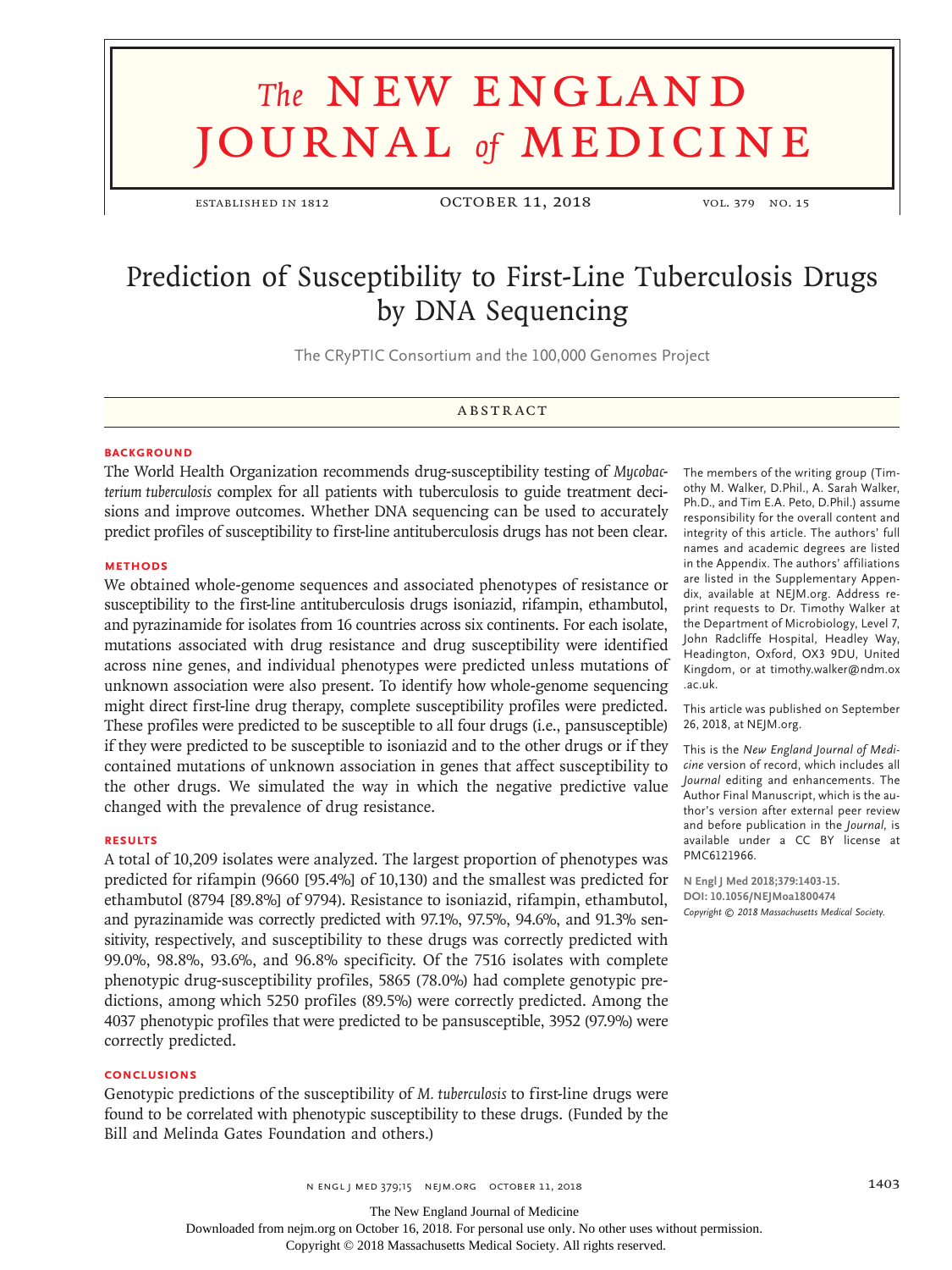# **The NEW ENGLAND** journal *of* medicine

established in 1812 October 11, 2018 vol. 379 no. 15

# Prediction of Susceptibility to First-Line Tuberculosis Drugs by DNA Sequencing

The CRyPTIC Consortium and the 100,000 Genomes Project

# **ABSTRACT**

#### **BACKGROUND**

The World Health Organization recommends drug-susceptibility testing of *Mycobacterium tuberculosis* complex for all patients with tuberculosis to guide treatment decisions and improve outcomes. Whether DNA sequencing can be used to accurately predict profiles of susceptibility to first-line antituberculosis drugs has not been clear.

#### **METHODS**

We obtained whole-genome sequences and associated phenotypes of resistance or susceptibility to the first-line antituberculosis drugs isoniazid, rifampin, ethambutol, and pyrazinamide for isolates from 16 countries across six continents. For each isolate, mutations associated with drug resistance and drug susceptibility were identified across nine genes, and individual phenotypes were predicted unless mutations of unknown association were also present. To identify how whole-genome sequencing might direct first-line drug therapy, complete susceptibility profiles were predicted. These profiles were predicted to be susceptible to all four drugs (i.e., pansusceptible) if they were predicted to be susceptible to isoniazid and to the other drugs or if they contained mutations of unknown association in genes that affect susceptibility to the other drugs. We simulated the way in which the negative predictive value changed with the prevalence of drug resistance.

#### **RESULTS**

A total of 10,209 isolates were analyzed. The largest proportion of phenotypes was predicted for rifampin (9660 [95.4%] of 10,130) and the smallest was predicted for ethambutol (8794 [89.8%] of 9794). Resistance to isoniazid, rifampin, ethambutol, and pyrazinamide was correctly predicted with 97.1%, 97.5%, 94.6%, and 91.3% sensitivity, respectively, and susceptibility to these drugs was correctly predicted with 99.0%, 98.8%, 93.6%, and 96.8% specificity. Of the 7516 isolates with complete phenotypic drug-susceptibility profiles, 5865 (78.0%) had complete genotypic predictions, among which 5250 profiles (89.5%) were correctly predicted. Among the 4037 phenotypic profiles that were predicted to be pansusceptible, 3952 (97.9%) were correctly predicted.

#### **CONCLUSIONS**

Genotypic predictions of the susceptibility of *M. tuberculosis* to first-line drugs were found to be correlated with phenotypic susceptibility to these drugs. (Funded by the Bill and Melinda Gates Foundation and others.)

The members of the writing group (Timothy M. Walker, D.Phil., A. Sarah Walker, Ph.D., and Tim E.A. Peto, D.Phil.) assume responsibility for the overall content and integrity of this article. The authors' full names and academic degrees are listed in the Appendix. The authors' affiliations are listed in the Supplementary Appendix, available at NEJM.org. Address reprint requests to Dr. Timothy Walker at the Department of Microbiology, Level 7, John Radcliffe Hospital, Headley Way, Headington, Oxford, OX3 9DU, United Kingdom, or at timothy.walker@ndm.ox .ac.uk.

This article was published on September 26, 2018, at NEJM.org.

This is the *New England Journal of Medicine* version of record, which includes all *Journal* editing and enhancements. The Author Final Manuscript, which is the author's version after external peer review and before publication in the *Journal*, is available under a CC BY license at PMC6121966.

**N Engl J Med 2018;379:1403-15. DOI: 10.1056/NEJMoa1800474** *Copyright © 2018 Massachusetts Medical Society.*

n engl j med 379;15 nejm.org October 11, 2018 1403

Downloaded from nejm.org on October 16, 2018. For personal use only. No other uses without permission.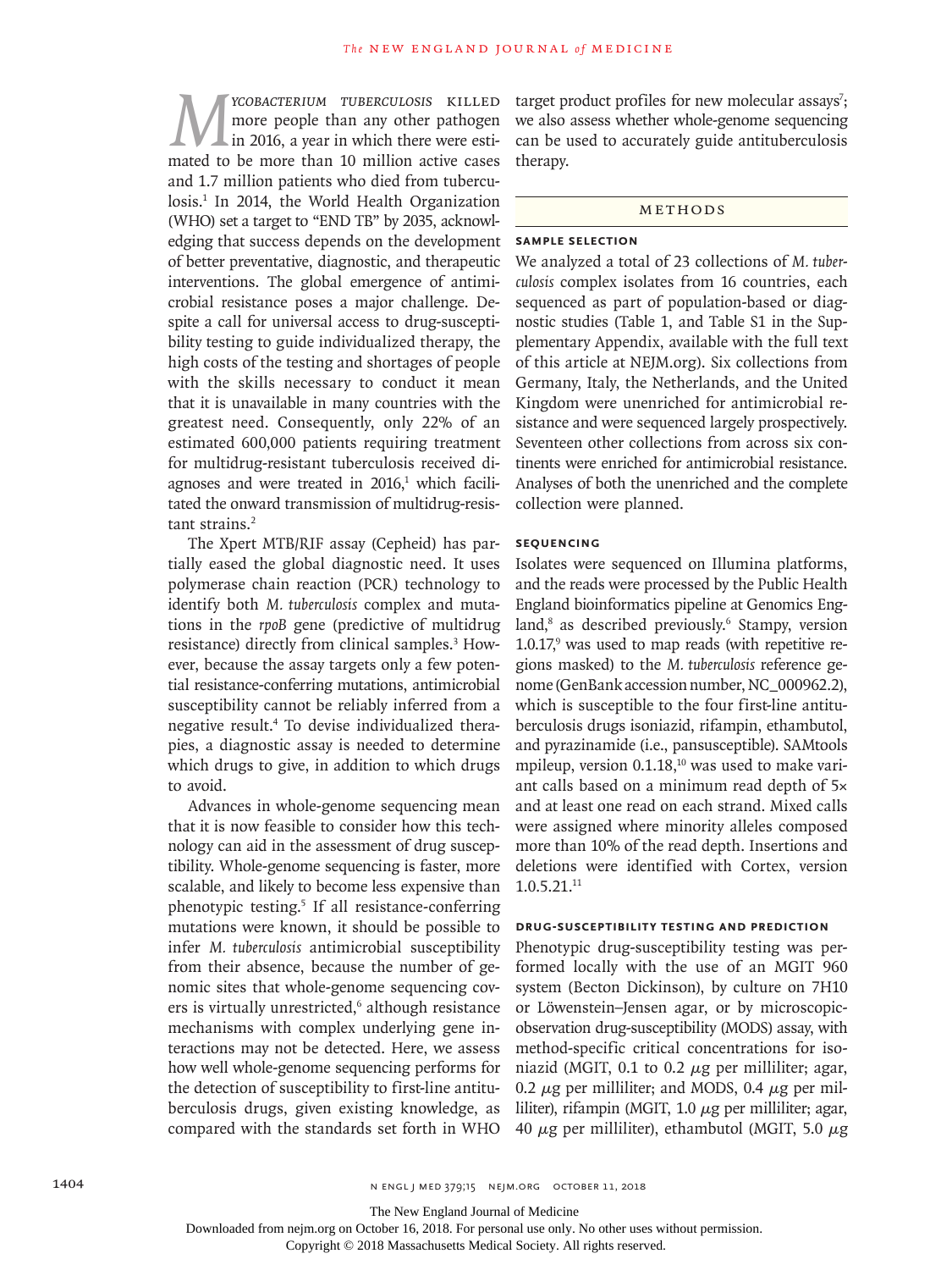*M*<sup>*YCOBACTERIUM TUBERCULOSIS* KILLED<br>more people than any other pathogen<br>in 2016, a year in which there were esti-<br>mated to be more than 10 million active cases</sup> more people than any other pathogen in 2016, a year in which there were estimated to be more than 10 million active cases and 1.7 million patients who died from tuberculosis.<sup>1</sup> In 2014, the World Health Organization (WHO) set a target to "END TB" by 2035, acknowledging that success depends on the development of better preventative, diagnostic, and therapeutic interventions. The global emergence of antimicrobial resistance poses a major challenge. Despite a call for universal access to drug-susceptibility testing to guide individualized therapy, the high costs of the testing and shortages of people with the skills necessary to conduct it mean that it is unavailable in many countries with the greatest need. Consequently, only 22% of an estimated 600,000 patients requiring treatment for multidrug-resistant tuberculosis received diagnoses and were treated in  $2016$ ,<sup>1</sup> which facilitated the onward transmission of multidrug-resistant strains.<sup>2</sup>

The Xpert MTB/RIF assay (Cepheid) has partially eased the global diagnostic need. It uses polymerase chain reaction (PCR) technology to identify both *M. tuberculosis* complex and mutations in the *rpoB* gene (predictive of multidrug resistance) directly from clinical samples.<sup>3</sup> However, because the assay targets only a few potential resistance-conferring mutations, antimicrobial susceptibility cannot be reliably inferred from a negative result.4 To devise individualized therapies, a diagnostic assay is needed to determine which drugs to give, in addition to which drugs to avoid.

Advances in whole-genome sequencing mean that it is now feasible to consider how this technology can aid in the assessment of drug susceptibility. Whole-genome sequencing is faster, more scalable, and likely to become less expensive than phenotypic testing.<sup>5</sup> If all resistance-conferring mutations were known, it should be possible to infer *M. tuberculosis* antimicrobial susceptibility from their absence, because the number of genomic sites that whole-genome sequencing covers is virtually unrestricted,<sup>6</sup> although resistance mechanisms with complex underlying gene interactions may not be detected. Here, we assess how well whole-genome sequencing performs for the detection of susceptibility to first-line antituberculosis drugs, given existing knowledge, as compared with the standards set forth in WHO

target product profiles for new molecular assays<sup>7</sup>; we also assess whether whole-genome sequencing can be used to accurately guide antituberculosis therapy.

#### Methods

#### **Sample Selection**

We analyzed a total of 23 collections of *M. tuberculosis* complex isolates from 16 countries, each sequenced as part of population-based or diagnostic studies (Table 1, and Table S1 in the Supplementary Appendix, available with the full text of this article at NEJM.org). Six collections from Germany, Italy, the Netherlands, and the United Kingdom were unenriched for antimicrobial resistance and were sequenced largely prospectively. Seventeen other collections from across six continents were enriched for antimicrobial resistance. Analyses of both the unenriched and the complete collection were planned.

# **Sequencing**

Isolates were sequenced on Illumina platforms, and the reads were processed by the Public Health England bioinformatics pipeline at Genomics England,<sup>8</sup> as described previously.<sup>6</sup> Stampy, version  $1.0.17$ , was used to map reads (with repetitive regions masked) to the *M. tuberculosis* reference genome (GenBank accession number, NC\_000962.2), which is susceptible to the four first-line antituberculosis drugs isoniazid, rifampin, ethambutol, and pyrazinamide (i.e., pansusceptible). SAMtools mpileup, version  $0.1.18$ ,<sup>10</sup> was used to make variant calls based on a minimum read depth of 5× and at least one read on each strand. Mixed calls were assigned where minority alleles composed more than 10% of the read depth. Insertions and deletions were identified with Cortex, version  $1.0.5.21.^{11}$ 

# **Drug-Susceptibility Testing and Prediction**

Phenotypic drug-susceptibility testing was performed locally with the use of an MGIT 960 system (Becton Dickinson), by culture on 7H10 or Löwenstein–Jensen agar, or by microscopicobservation drug-susceptibility (MODS) assay, with method-specific critical concentrations for isoniazid (MGIT,  $0.1$  to  $0.2 \mu$ g per milliliter; agar, 0.2  $\mu$ g per milliliter; and MODS, 0.4  $\mu$ g per milliliter), rifampin (MGIT,  $1.0 \mu$ g per milliliter; agar, 40  $\mu$ g per milliliter), ethambutol (MGIT, 5.0  $\mu$ g

The New England Journal of Medicine

Downloaded from nejm.org on October 16, 2018. For personal use only. No other uses without permission.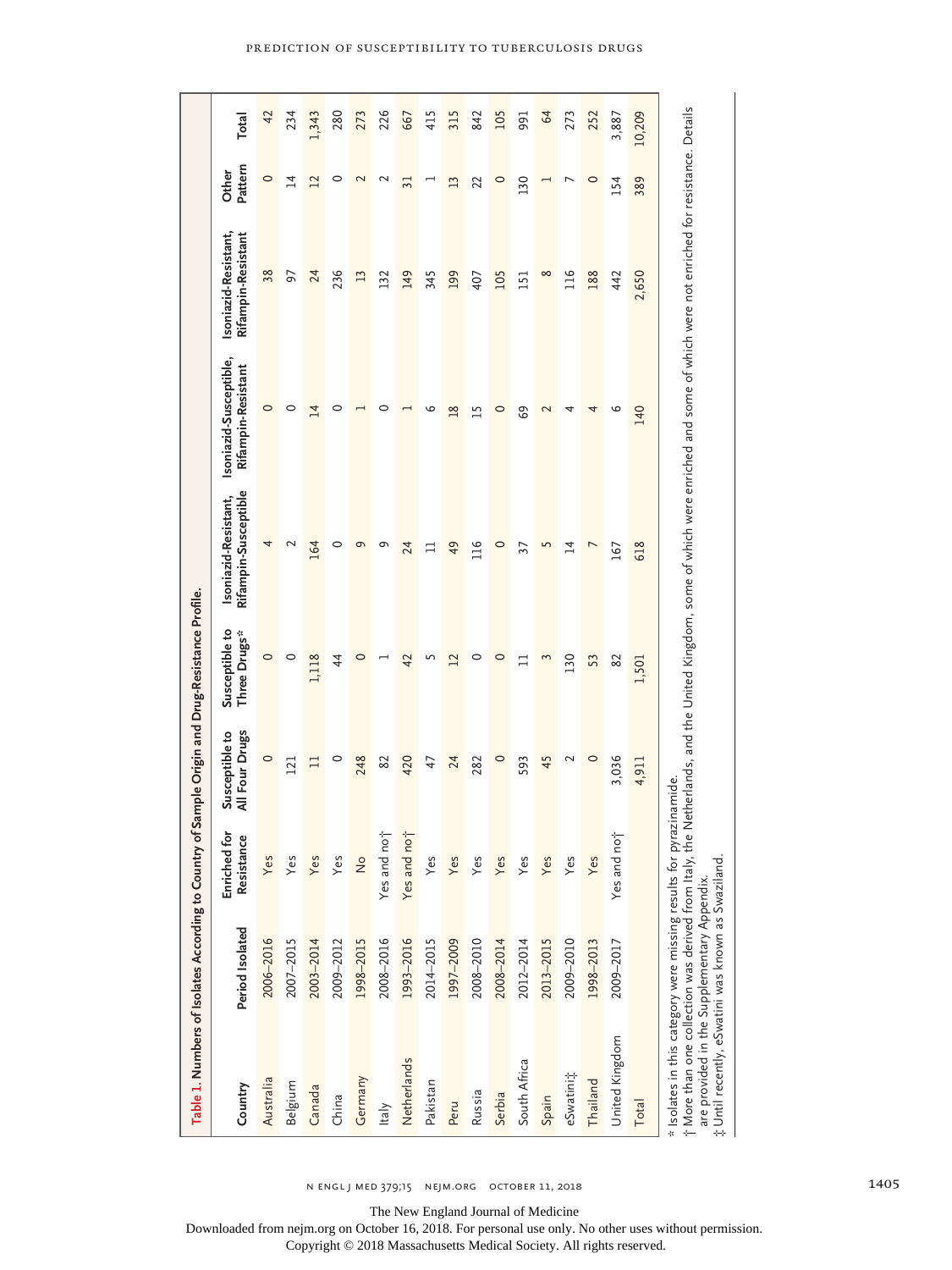|                                                                                                                                                                               | Table 1. Numbers of Isolates According to Country |                                 | of Sample Origin and Drug-Resistance Profile. |                                |                                              |                                                                                                                                 |                                            |                          |               |
|-------------------------------------------------------------------------------------------------------------------------------------------------------------------------------|---------------------------------------------------|---------------------------------|-----------------------------------------------|--------------------------------|----------------------------------------------|---------------------------------------------------------------------------------------------------------------------------------|--------------------------------------------|--------------------------|---------------|
| Country                                                                                                                                                                       | Period Isolated                                   | ځ<br>පි<br>Enriched<br>Resistan | All Four Drugs<br>Susceptible to              | Susceptible to<br>Three Drugs* | Rifampin-Susceptible<br>Isoniazid-Resistant, | Isoniazid-Susceptible,<br>Rifampin-Resistant                                                                                    | Isoniazid-Resistant,<br>Rifampin-Resistant | Pattern<br>Other         | Total         |
| Australia                                                                                                                                                                     | 2006-2016                                         | Yes                             | $\circ$                                       | $\circ$                        | 4                                            | $\circ$                                                                                                                         | 38                                         | $\circ$                  | 42            |
| Belgium                                                                                                                                                                       | 2007-2015                                         | Yes                             | 121                                           | 0                              | $\sim$                                       | 0                                                                                                                               | 57                                         | $\overline{14}$          | 234           |
| Canada                                                                                                                                                                        | 2003-2014                                         | Yes                             | $\Box$                                        | 1,118                          | 164                                          | $\overline{14}$                                                                                                                 | 24                                         | 12                       | 1,343         |
| China                                                                                                                                                                         | 2009-2012                                         | Yes                             | $\circ$                                       | 4                              | 0                                            | 0                                                                                                                               | 236                                        | $\circ$                  | 280           |
| Germany                                                                                                                                                                       | 1998-2015                                         | $\frac{1}{2}$                   | 248                                           | $\circ$                        | e                                            |                                                                                                                                 | $\mathbf{L}$                               | 2                        | 273           |
| Italy                                                                                                                                                                         | 2008-2016                                         | Yes and not                     | 82                                            |                                | σ                                            | 0                                                                                                                               | 132                                        | $\mathbf 2$              | 226           |
| Netherlands                                                                                                                                                                   | 1993-2016                                         | Yes and not                     | 420                                           | 42                             | 24                                           |                                                                                                                                 | 149                                        | $\overline{31}$          | 667           |
| Pakistan                                                                                                                                                                      | 2014-2015                                         | Yes                             | 47                                            | 5                              | $\Box$                                       | ৩                                                                                                                               | 345                                        |                          | 415           |
| Peru                                                                                                                                                                          | 1997-2009                                         | Yes                             | 24                                            | $\mathbf{L}$                   | 49                                           | $\frac{8}{2}$                                                                                                                   | 199                                        | 13                       | 315           |
| Russia                                                                                                                                                                        | 2008-2010                                         | Yes                             | 282                                           | $\circ$                        | 116                                          | 15                                                                                                                              | 407                                        | 22                       | 842           |
| Serbia                                                                                                                                                                        | 2008-2014                                         | Yes                             | $\circ$                                       | $\circ$                        | $\circ$                                      | $\circ$                                                                                                                         | 105                                        | $\circ$                  | 105           |
| South Africa                                                                                                                                                                  | 2012-2014                                         | Yes                             | 593                                           | $\Box$                         | 37                                           | 69                                                                                                                              | 151                                        | 130                      | 991           |
| Spain                                                                                                                                                                         | 2013-2015                                         | Yes                             | 45                                            | ξ                              | 5                                            | $\mathbf 2$                                                                                                                     | $\infty$                                   | $\overline{\phantom{0}}$ | $\mathcal{R}$ |
| eSwatini;                                                                                                                                                                     | 2009-2010                                         | Yes                             | 2                                             | 130                            | $\overline{1}$                               | 4                                                                                                                               | 116                                        | $\overline{ }$           | 273           |
| Thailand                                                                                                                                                                      | 1998-2013                                         | Yes                             | $\circ$                                       | 53                             | L                                            | 4                                                                                                                               | 188                                        | $\circ$                  | 252           |
| United Kingdom                                                                                                                                                                | 2009-2017                                         | Yes and not                     | 3,036                                         | 82                             | 167                                          | o                                                                                                                               | 442                                        | 154                      | 3,887         |
| Total                                                                                                                                                                         |                                                   |                                 | 4,911                                         | 1,501                          | 618                                          | 140                                                                                                                             | 2,650                                      | 389                      | 10,209        |
| * Isolates in this category were missing results for pyrazinamide.<br>t More than one collection was derived from Italy,<br>#Until recently, eSwatini was known as Swaziland. | are provided in the Supplementary Appendix.       |                                 |                                               |                                |                                              | he Netherlands, and the United Kingdom, some of which were enriched and some of which were not enriched for resistance. Details |                                            |                          |               |

n engl j med 379;15 nejm.org October 11, 2018 1405

The New England Journal of Medicine

Downloaded from nejm.org on October 16, 2018. For personal use only. No other uses without permission.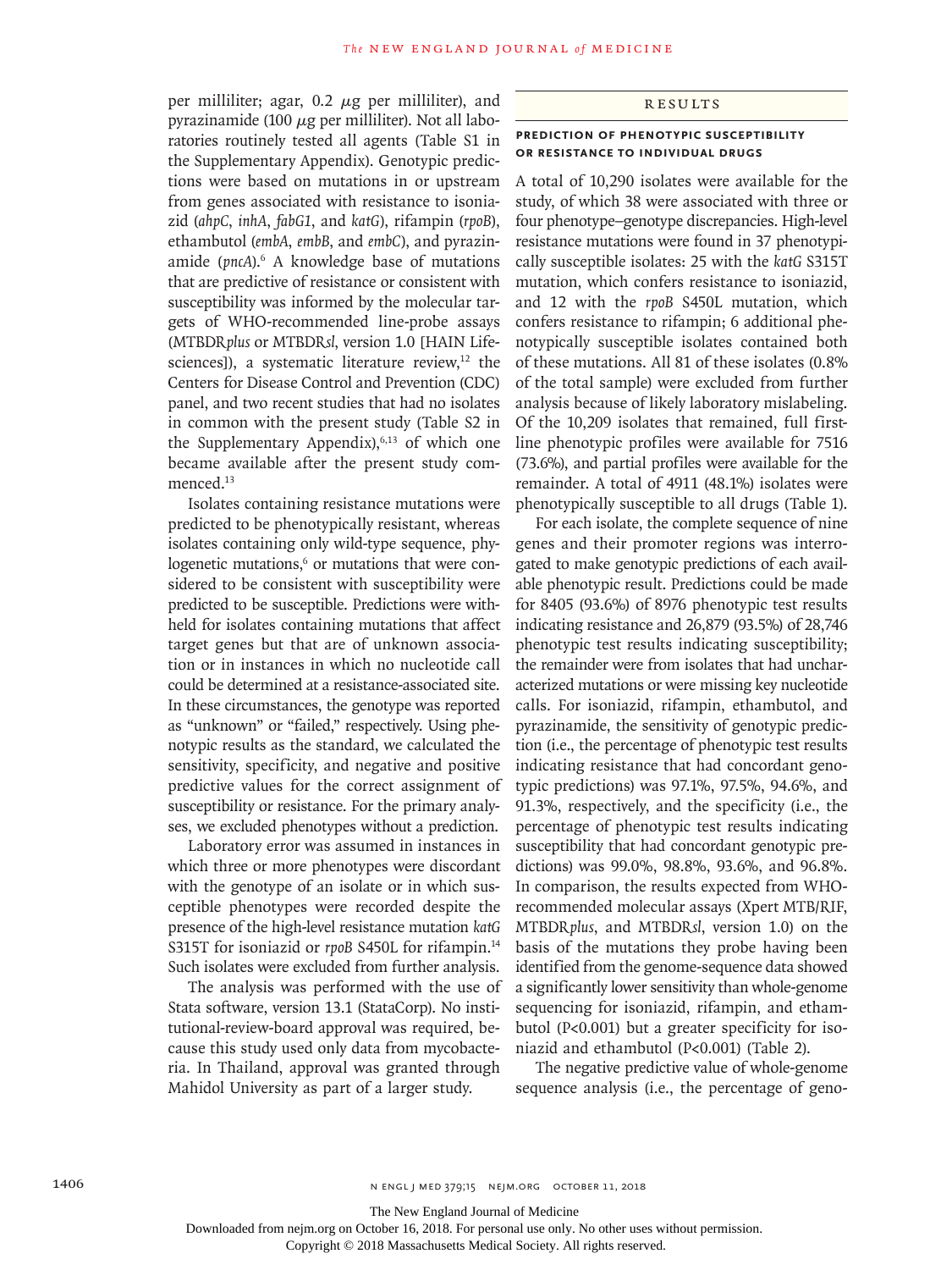per milliliter; agar,  $0.2 \mu$ g per milliliter), and pyrazinamide (100  $\mu$ g per milliliter). Not all laboratories routinely tested all agents (Table S1 in the Supplementary Appendix). Genotypic predictions were based on mutations in or upstream from genes associated with resistance to isoniazid (*ahpC*, *inhA*, *fabG1*, and *katG*), rifampin (*rpoB*), ethambutol (*embA*, *embB*, and *embC*), and pyrazinamide (pncA).<sup>6</sup> A knowledge base of mutations that are predictive of resistance or consistent with susceptibility was informed by the molecular targets of WHO-recommended line-probe assays (MTBDR*plus* or MTBDR*sl*, version 1.0 [HAIN Lifesciences]), a systematic literature review, $12$  the Centers for Disease Control and Prevention (CDC) panel, and two recent studies that had no isolates in common with the present study (Table S2 in the Supplementary Appendix), $6,13$  of which one became available after the present study commenced.<sup>13</sup>

Isolates containing resistance mutations were predicted to be phenotypically resistant, whereas isolates containing only wild-type sequence, phylogenetic mutations,<sup>6</sup> or mutations that were considered to be consistent with susceptibility were predicted to be susceptible. Predictions were withheld for isolates containing mutations that affect target genes but that are of unknown association or in instances in which no nucleotide call could be determined at a resistance-associated site. In these circumstances, the genotype was reported as "unknown" or "failed," respectively. Using phenotypic results as the standard, we calculated the sensitivity, specificity, and negative and positive predictive values for the correct assignment of susceptibility or resistance. For the primary analyses, we excluded phenotypes without a prediction.

Laboratory error was assumed in instances in which three or more phenotypes were discordant with the genotype of an isolate or in which susceptible phenotypes were recorded despite the presence of the high-level resistance mutation *katG* S315T for isoniazid or *rpoB* S450L for rifampin.<sup>14</sup> Such isolates were excluded from further analysis.

The analysis was performed with the use of Stata software, version 13.1 (StataCorp). No institutional-review-board approval was required, because this study used only data from mycobacteria. In Thailand, approval was granted through Mahidol University as part of a larger study.

#### Results

#### **Prediction of Phenotypic Susceptibility or Resistance to Individual Drugs**

A total of 10,290 isolates were available for the study, of which 38 were associated with three or four phenotype–genotype discrepancies. High-level resistance mutations were found in 37 phenotypically susceptible isolates: 25 with the *katG* S315T mutation, which confers resistance to isoniazid, and 12 with the *rpoB* S450L mutation, which confers resistance to rifampin; 6 additional phenotypically susceptible isolates contained both of these mutations. All 81 of these isolates (0.8% of the total sample) were excluded from further analysis because of likely laboratory mislabeling. Of the 10,209 isolates that remained, full firstline phenotypic profiles were available for 7516 (73.6%), and partial profiles were available for the remainder. A total of 4911 (48.1%) isolates were phenotypically susceptible to all drugs (Table 1).

For each isolate, the complete sequence of nine genes and their promoter regions was interrogated to make genotypic predictions of each available phenotypic result. Predictions could be made for 8405 (93.6%) of 8976 phenotypic test results indicating resistance and 26,879 (93.5%) of 28,746 phenotypic test results indicating susceptibility; the remainder were from isolates that had uncharacterized mutations or were missing key nucleotide calls. For isoniazid, rifampin, ethambutol, and pyrazinamide, the sensitivity of genotypic prediction (i.e., the percentage of phenotypic test results indicating resistance that had concordant genotypic predictions) was 97.1%, 97.5%, 94.6%, and 91.3%, respectively, and the specificity (i.e., the percentage of phenotypic test results indicating susceptibility that had concordant genotypic predictions) was 99.0%, 98.8%, 93.6%, and 96.8%. In comparison, the results expected from WHOrecommended molecular assays (Xpert MTB/RIF, MTBDR*plus*, and MTBDR*sl*, version 1.0) on the basis of the mutations they probe having been identified from the genome-sequence data showed a significantly lower sensitivity than whole-genome sequencing for isoniazid, rifampin, and ethambutol (P<0.001) but a greater specificity for isoniazid and ethambutol (P<0.001) (Table 2).

The negative predictive value of whole-genome sequence analysis (i.e., the percentage of geno-

Downloaded from nejm.org on October 16, 2018. For personal use only. No other uses without permission.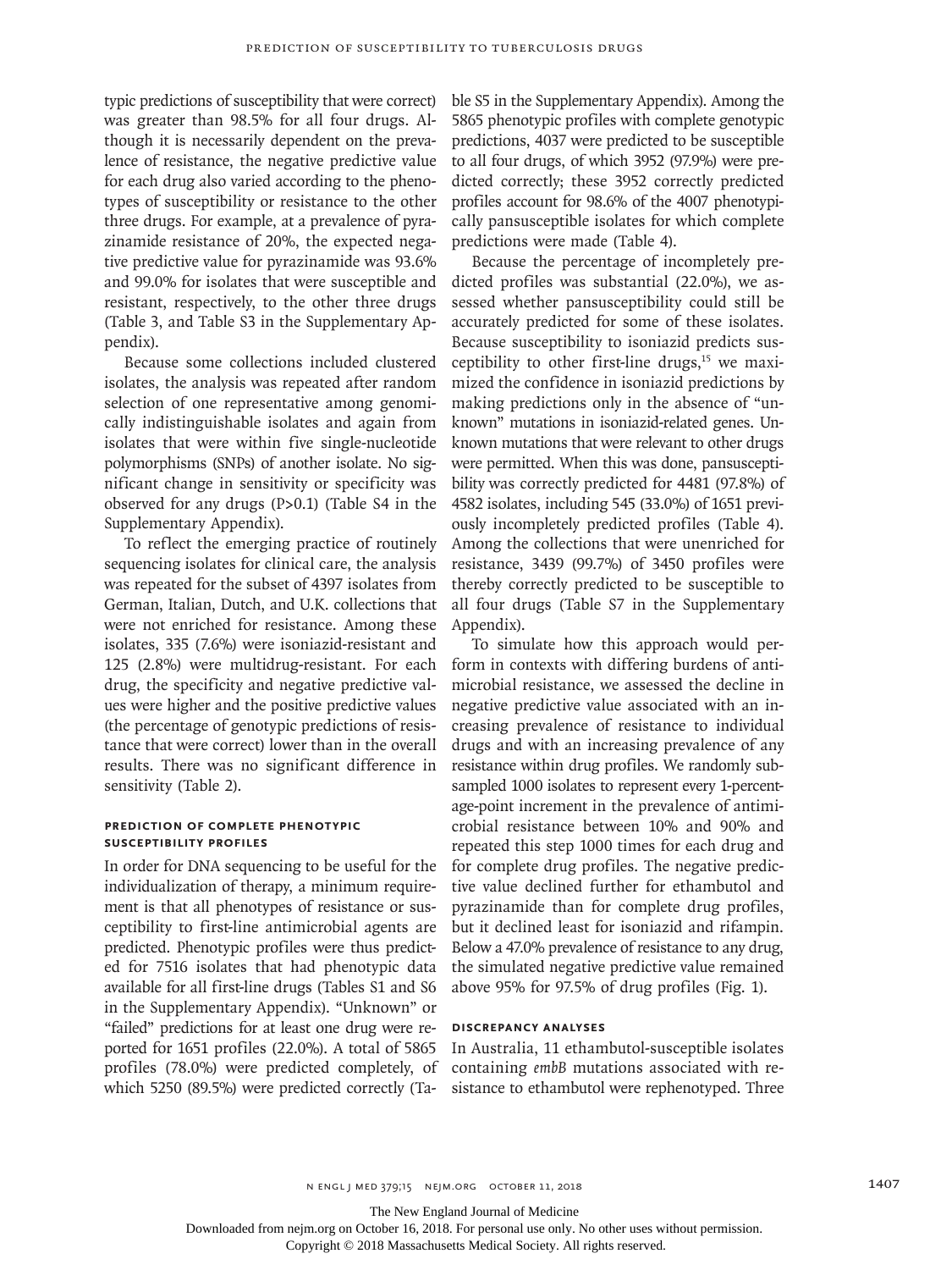typic predictions of susceptibility that were correct) was greater than 98.5% for all four drugs. Although it is necessarily dependent on the prevalence of resistance, the negative predictive value for each drug also varied according to the phenotypes of susceptibility or resistance to the other three drugs. For example, at a prevalence of pyrazinamide resistance of 20%, the expected negative predictive value for pyrazinamide was 93.6% and 99.0% for isolates that were susceptible and resistant, respectively, to the other three drugs (Table 3, and Table S3 in the Supplementary Appendix).

Because some collections included clustered isolates, the analysis was repeated after random selection of one representative among genomically indistinguishable isolates and again from isolates that were within five single-nucleotide polymorphisms (SNPs) of another isolate. No significant change in sensitivity or specificity was observed for any drugs (P>0.1) (Table S4 in the Supplementary Appendix).

To reflect the emerging practice of routinely sequencing isolates for clinical care, the analysis was repeated for the subset of 4397 isolates from German, Italian, Dutch, and U.K. collections that were not enriched for resistance. Among these isolates, 335 (7.6%) were isoniazid-resistant and 125 (2.8%) were multidrug-resistant. For each drug, the specificity and negative predictive values were higher and the positive predictive values (the percentage of genotypic predictions of resistance that were correct) lower than in the overall results. There was no significant difference in sensitivity (Table 2).

#### **Prediction of Complete Phenotypic Susceptibility Profiles**

In order for DNA sequencing to be useful for the individualization of therapy, a minimum requirement is that all phenotypes of resistance or susceptibility to first-line antimicrobial agents are predicted. Phenotypic profiles were thus predicted for 7516 isolates that had phenotypic data available for all first-line drugs (Tables S1 and S6 in the Supplementary Appendix). "Unknown" or "failed" predictions for at least one drug were reported for 1651 profiles (22.0%). A total of 5865 profiles (78.0%) were predicted completely, of which 5250 (89.5%) were predicted correctly (Table S5 in the Supplementary Appendix). Among the 5865 phenotypic profiles with complete genotypic predictions, 4037 were predicted to be susceptible to all four drugs, of which 3952 (97.9%) were predicted correctly; these 3952 correctly predicted profiles account for 98.6% of the 4007 phenotypically pansusceptible isolates for which complete predictions were made (Table 4).

Because the percentage of incompletely predicted profiles was substantial (22.0%), we assessed whether pansusceptibility could still be accurately predicted for some of these isolates. Because susceptibility to isoniazid predicts susceptibility to other first-line drugs, $15$  we maximized the confidence in isoniazid predictions by making predictions only in the absence of "unknown" mutations in isoniazid-related genes. Unknown mutations that were relevant to other drugs were permitted. When this was done, pansusceptibility was correctly predicted for 4481 (97.8%) of 4582 isolates, including 545 (33.0%) of 1651 previously incompletely predicted profiles (Table 4). Among the collections that were unenriched for resistance, 3439 (99.7%) of 3450 profiles were thereby correctly predicted to be susceptible to all four drugs (Table S7 in the Supplementary Appendix).

To simulate how this approach would perform in contexts with differing burdens of antimicrobial resistance, we assessed the decline in negative predictive value associated with an increasing prevalence of resistance to individual drugs and with an increasing prevalence of any resistance within drug profiles. We randomly subsampled 1000 isolates to represent every 1-percentage-point increment in the prevalence of antimicrobial resistance between 10% and 90% and repeated this step 1000 times for each drug and for complete drug profiles. The negative predictive value declined further for ethambutol and pyrazinamide than for complete drug profiles, but it declined least for isoniazid and rifampin. Below a 47.0% prevalence of resistance to any drug, the simulated negative predictive value remained above 95% for 97.5% of drug profiles (Fig. 1).

#### **Discrepancy Analyses**

In Australia, 11 ethambutol-susceptible isolates containing *embB* mutations associated with resistance to ethambutol were rephenotyped. Three

The New England Journal of Medicine

Downloaded from nejm.org on October 16, 2018. For personal use only. No other uses without permission.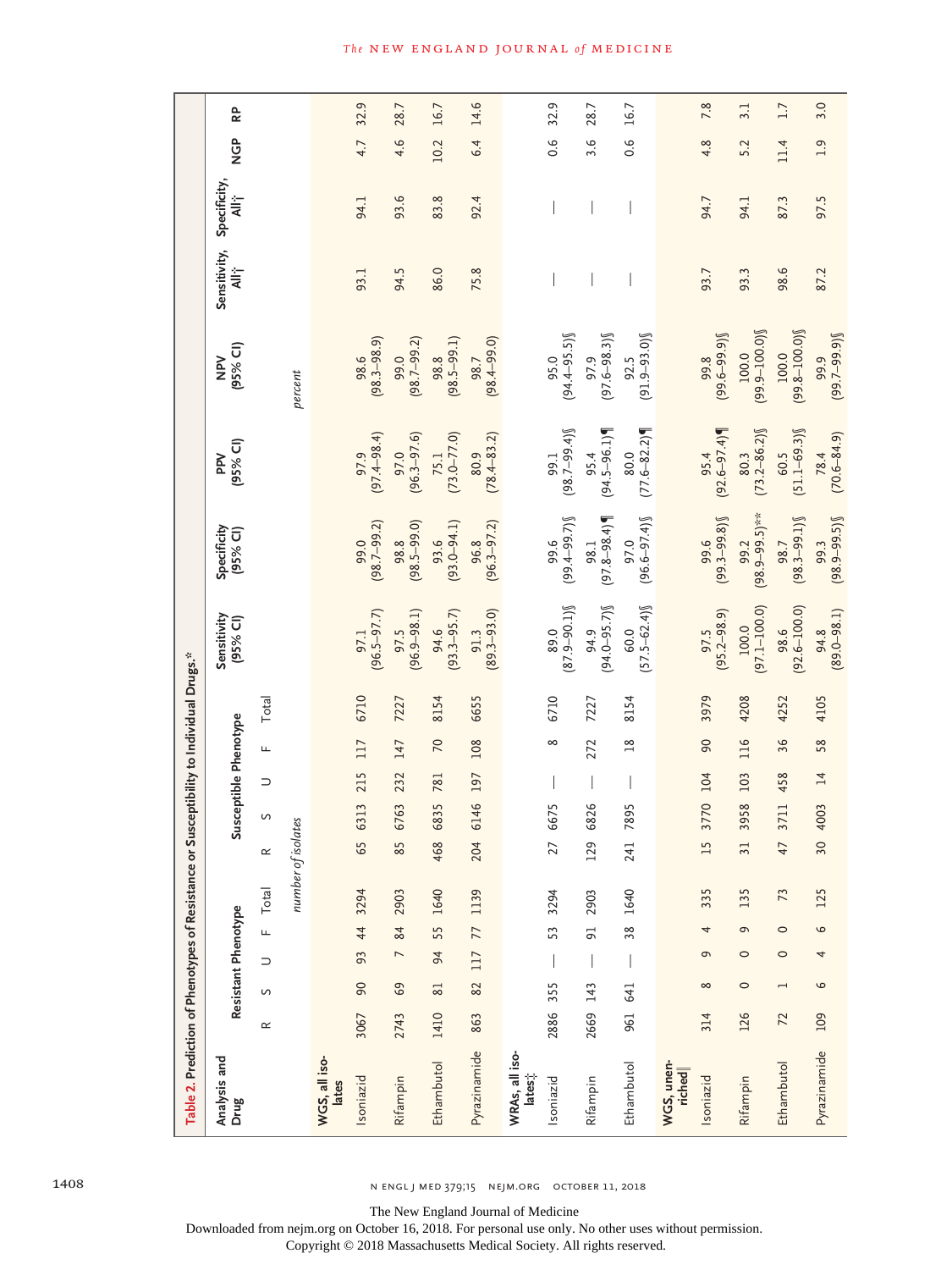| Table 2. Prediction of Phenotypes of Resistance or |          |                          |                |         |                    |                               |      |     |                       | Susceptibility to Individual Drugs.* |                           |                            |                         |                           |                       |                   |         |      |
|----------------------------------------------------|----------|--------------------------|----------------|---------|--------------------|-------------------------------|------|-----|-----------------------|--------------------------------------|---------------------------|----------------------------|-------------------------|---------------------------|-----------------------|-------------------|---------|------|
| Analysis and<br>Drug                               |          | Resistant Phenotype      |                |         |                    |                               |      |     | Susceptible Phenotype |                                      | Sensitivity<br>(95% CI)   | Specificity<br>(95% CI)    | (95% CI)<br><b>PP</b>   | (95% C1)<br>NPN           | Sensitivity,<br>All i | Specificity,<br>≹ | GD<br>Z | 6    |
|                                                    | $\simeq$ | $\mathcal{G}$            | $\supset$      | LL.     | Total              | $\simeq$                      | S    | ⊃   | щ                     | Total                                |                           |                            |                         |                           |                       |                   |         |      |
|                                                    |          |                          |                |         | number of isolates |                               |      |     |                       |                                      |                           |                            |                         | percent                   |                       |                   |         |      |
| WGS, all iso-<br>lates                             |          |                          |                |         |                    |                               |      |     |                       |                                      |                           |                            |                         |                           |                       |                   |         |      |
| Isoniazid                                          | 3067     | 90                       | 93             | 44      | 3294               | 65                            | 6313 | 215 | 117                   | 6710                                 | $(96.5 - 97.7)$<br>97.1   | $(98.7 - 99.2)$<br>99.0    | $(97.4 - 98.4)$<br>97.9 | $(98.3 - 98.9)$<br>98.6   | 93.1                  | 94.1              | 4.7     | 32.9 |
| Rifampin                                           | 2743     | 69                       | $\overline{ }$ | 84      | 2903               | $\overline{5}$<br>$\infty$    | 6763 | 232 | 147                   | 7227                                 | $(96.9 - 98.1)$<br>97.5   | $(98.5 - 99.0)$<br>98.8    | $(96.3 - 97.6)$<br>97.0 | $(98.7 - 99.2)$<br>99.0   | 94.5                  | 93.6              | 4.6     | 28.7 |
| Ethambutol                                         | 1410     | 81                       | 94             | 55      | 1640               | 468                           | 6835 | 781 | 20                    | 8154                                 | $(93.3 - 95.7)$<br>94.6   | $(93.0 - 94.1)$<br>93.6    | $(73.0 - 77.0)$<br>75.1 | $(98.5 - 99.1)$<br>98.8   | 86.0                  | 83.8              | 10.2    | 16.7 |
| Pyrazinamide                                       | 863      | 82                       | 117            | 77      | 1139               | 204                           | 6146 | 197 | 108                   | 6655                                 | $(89.3 - 93.0)$<br>91.3   | $(96.3 - 97.2)$<br>96.8    | $(78.4 - 83.2)$<br>80.9 | $(98.4 - 99.0)$<br>98.7   | 75.8                  | 92.4              | 6.4     | 14.6 |
| WRAs, all iso-<br>lates;                           |          |                          |                |         |                    |                               |      |     |                       |                                      |                           |                            |                         |                           |                       |                   |         |      |
| Isoniazid                                          | 2886     | 355                      |                | 53      | 3294               | $\mathbf 2$                   | 6675 |     | $\infty$              | 6710                                 | $(87.9 - 90.1)$<br>89.0   | $(99.4 - 99.7)$<br>99.6    | $(98.7 - 99.4)$<br>99.1 | $(94.4 - 95.5)$<br>95.0   |                       |                   | 0.6     | 32.9 |
| Rifampin                                           | 2669     | 143                      |                | 5       | 2903               | $\tilde{z}$                   | 6826 |     | 272                   | 7227                                 | $(94.0 - 95.7)$<br>94.9   | $(97.8 - 98.4)$<br>98.1    | $(94.5 - 96.1)$<br>95.4 | $(97.6 - 98.3)$<br>97.9   |                       |                   | 3.6     | 28.7 |
| Ethambutol                                         | 961      | 641                      |                | 38      | 1640               | 24.                           | 7895 |     | $\frac{8}{18}$        | 8154                                 | $[57.5 - 62.4)]$<br>60.0  | $(96.6 - 97.4)$<br>97.0    | $(77.6 - 82.2)$<br>80.0 | $(91.9 - 93.0)$<br>92.5   |                       |                   | 0.6     | 16.7 |
| WGS, unen-<br>riched                               |          |                          |                |         |                    |                               |      |     |                       |                                      |                           |                            |                         |                           |                       |                   |         |      |
| Isoniazid                                          | 314      | $\infty$                 | G              | 4       | 335                | 5<br>$\overline{\phantom{0}}$ | 3770 | 104 | 90                    | 3979                                 | $(95.2 - 98.9)$<br>97.5   | $(99.3 - 99.8)$<br>99.6    | $(92.6 - 97.4)$<br>95.4 | $(99.6 - 99.9)$<br>99.8   | 93.7                  | 94.7              | 4.8     | 7.8  |
| Rifampin                                           | 126      | $\circ$                  | $\circ$        | G       | 135                | 3                             | 3958 | 103 | 116                   | 4208                                 | $(97.1 - 100.0)$<br>100.0 | $(98.9 - 99.5)$ **<br>99.2 | $(73.2 - 86.2)$<br>80.3 | $(99.9 - 100.0)$<br>100.0 | 93.3                  | 94.1              | 5.2     | 3.1  |
| Ethambutol                                         | 72       | $\overline{\phantom{0}}$ | $\circ$        | $\circ$ | 73                 | 4                             | 3711 | 458 | 36                    | 4252                                 | $(92.6 - 100.0)$<br>98.6  | $(98.3 - 99.1)$<br>98.7    | $60.5$<br>(51.1–69.3)   | $(99.8 - 100.0)$<br>100.0 | 98.6                  | 87.3              | 11.4    | 1.7  |
| Pyrazinamide                                       | 109      | 6                        | 4              | $\circ$ | 125                | $\overline{5}$                | 4003 | 14  | 58                    | 4105                                 | $94.8$<br>$(89.0 - 98.1)$ | $(98.9 - 99.5)$<br>99.3    | $(70.6 - 84.9)$<br>78.4 | $(99.7 - 99.9)$<br>99.9   | 87.2                  | 97.5              | 1.9     | 3.0  |

1408 n engl j med 379;15 nejm.org October 11, 2018

The New England Journal of Medicine

Downloaded from nejm.org on October 16, 2018. For personal use only. No other uses without permission.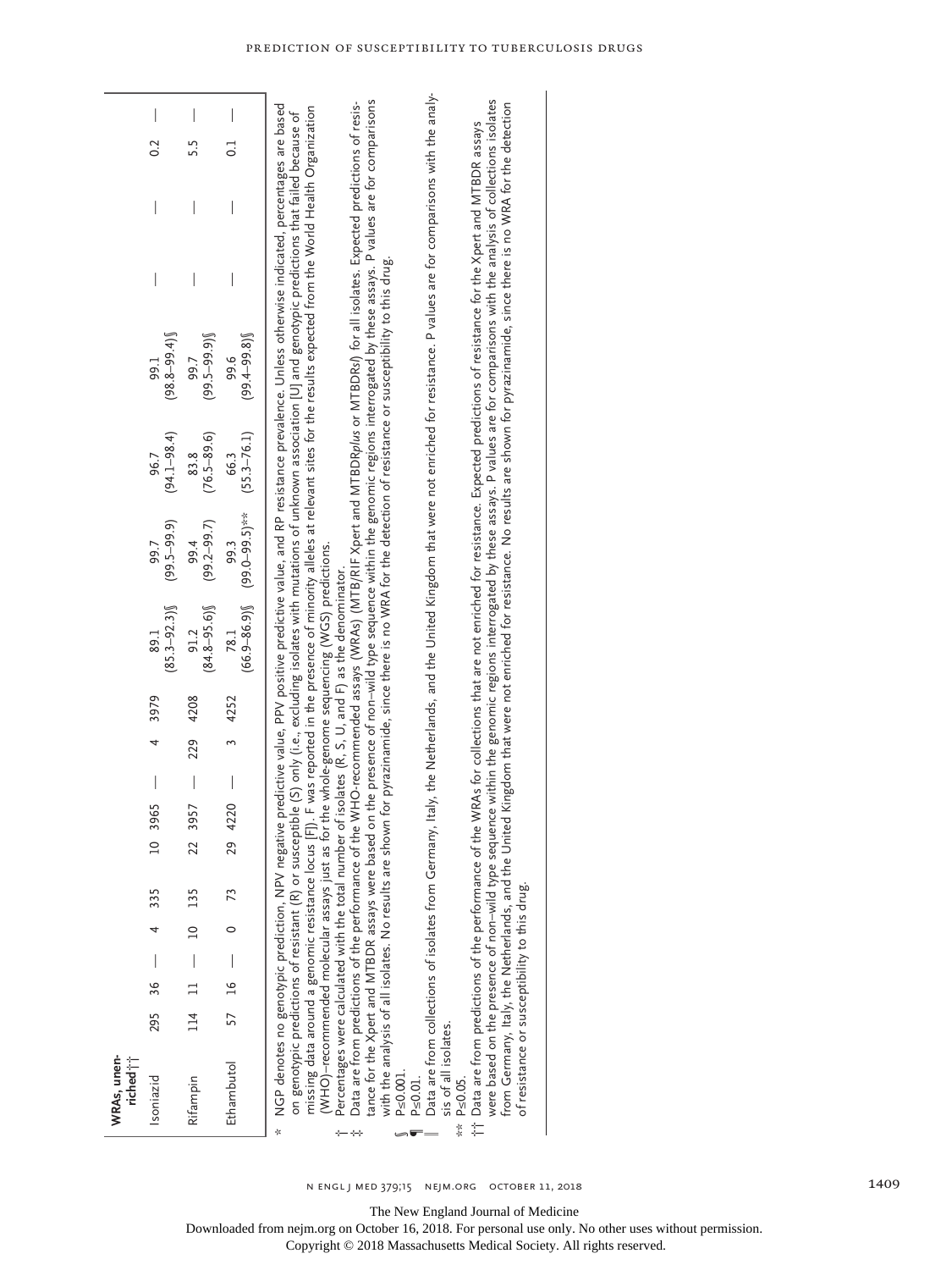| WRAs, unen-<br>riched i <sup>1</sup>                                                                                                                                                                                                                                                               |     |      |                          |                |     |                |           |     |      |                                                                                                                                                                                                                                       |                                            |                         |                                                                                                                                                                                                                                                                                                                                                                                                                                                                                                                                                                                                                                                                                                                                                                                                                                                                                                                                                                                                                                                                                                                                                                                                                                                                                                                                                                                                                                                                                                                                                                                                                                                                                                        |  |                |  |
|----------------------------------------------------------------------------------------------------------------------------------------------------------------------------------------------------------------------------------------------------------------------------------------------------|-----|------|--------------------------|----------------|-----|----------------|-----------|-----|------|---------------------------------------------------------------------------------------------------------------------------------------------------------------------------------------------------------------------------------------|--------------------------------------------|-------------------------|--------------------------------------------------------------------------------------------------------------------------------------------------------------------------------------------------------------------------------------------------------------------------------------------------------------------------------------------------------------------------------------------------------------------------------------------------------------------------------------------------------------------------------------------------------------------------------------------------------------------------------------------------------------------------------------------------------------------------------------------------------------------------------------------------------------------------------------------------------------------------------------------------------------------------------------------------------------------------------------------------------------------------------------------------------------------------------------------------------------------------------------------------------------------------------------------------------------------------------------------------------------------------------------------------------------------------------------------------------------------------------------------------------------------------------------------------------------------------------------------------------------------------------------------------------------------------------------------------------------------------------------------------------------------------------------------------------|--|----------------|--|
| Isoniazid                                                                                                                                                                                                                                                                                          | 295 | 36   | $\overline{\phantom{a}}$ |                | 335 | $\overline{a}$ | 3965      | 4   | 3979 | $(85.3 - 92.3)$<br>89.1                                                                                                                                                                                                               | $(99.5 - 99.9)$<br>99.7                    | $(94.1 - 98.4)$<br>96.7 | $(98.8 - 99.4)$<br>99.1                                                                                                                                                                                                                                                                                                                                                                                                                                                                                                                                                                                                                                                                                                                                                                                                                                                                                                                                                                                                                                                                                                                                                                                                                                                                                                                                                                                                                                                                                                                                                                                                                                                                                |  | 0.2            |  |
| Rifampin                                                                                                                                                                                                                                                                                           | 114 |      | $\overline{\phantom{a}}$ | $\overline{a}$ | 135 | 22             | 3957      | 229 | 4208 | $(84.8 - 95.6)$<br>91.2                                                                                                                                                                                                               | $(99.2 - 99.7)$<br>99.4                    | $(76.5 - 89.6)$<br>83.8 | $(99.5 - 99.9)$<br>99.7                                                                                                                                                                                                                                                                                                                                                                                                                                                                                                                                                                                                                                                                                                                                                                                                                                                                                                                                                                                                                                                                                                                                                                                                                                                                                                                                                                                                                                                                                                                                                                                                                                                                                |  | 5.5            |  |
| Ethambutol                                                                                                                                                                                                                                                                                         | 57  | $16$ | $\overline{\phantom{a}}$ | $\circ$        | 73  | 29             | I<br>4220 | 3   | 4252 | 78.1                                                                                                                                                                                                                                  | $(66.9 - 86.9)$ $(99.0 - 99.5)$ **<br>99.3 | $(55.3 - 76.1)$<br>66.3 | $(99.4 - 99.8)$<br>99.6                                                                                                                                                                                                                                                                                                                                                                                                                                                                                                                                                                                                                                                                                                                                                                                                                                                                                                                                                                                                                                                                                                                                                                                                                                                                                                                                                                                                                                                                                                                                                                                                                                                                                |  | $\overline{0}$ |  |
| Data are from predictions of the performance of th<br>it Data are from predictions of the performance of th<br>missing data around a genomic resistance locus<br>of resistance or susceptibility to this drug.<br>sis of all isolates.<br>$P \le 0.001$ .<br>$P \le 0.05$ .<br>$P \le 0.01$ .<br>ķ |     |      |                          |                |     |                |           |     |      | $\overline{\rm W}$ HO)–recommended molecular assays just as for the whole-genome sequencing $\overline{\rm W}$ GS) predictions.<br>Percentages were calculated with the total number of isolates (R, S, U, and F) as the denominator. |                                            |                         | Data are from collections of isolates from Germany, Italy, the Netherlands, and the United Kingdom that were not enriched for resistance. P values are for comparisons with the analy-<br>were based on the presence of non-wild type sequence within the genomic regions interrogated by these assays. P values are for comparisons with the analysis of collections isolates<br>tance for the Xpert and MTBDR assays were based on the presence of non-wild type sequence within the genomic regions interrogated by these assays. P values are for comparisons<br>ne WHO-recommended assays (WRAs) (MTB/RIF Xpert and MTBDRp/us or MTBDRs/) for all isolates. Expected predictions of resis-<br>from Germany, Italy, the Netherlands, and the United Kingdom that were not enriched for resistance. No results are shown for pyrazinamide, since there is no WRA for the detection<br>NGP denotes no genotypic prediction, NPV negative predictive value, Prositive value, and RP resistance prevalence. Unless otherwise indicated, percentages are based<br>FI). F was reported in the presence of minority alleles at relevant sites for the results expected from the World Health Organization<br>on genotypic predictions of resistant (R) or susceptible (S) only (i.e., excluding isolates with mutations of unknown association [U] and genotypic predictions that failed because of<br>ne WRAs for collections that are not enriched for resistance. Expected predictions of resistance for the Xpert and MTBDR assays<br>with the analysis of all isolates. No results are shown for pyrazinamide, since there is no WRA for the detection of resistance or susceptibility to this drug. |  |                |  |
|                                                                                                                                                                                                                                                                                                    |     |      |                          |                |     |                |           |     |      |                                                                                                                                                                                                                                       |                                            |                         |                                                                                                                                                                                                                                                                                                                                                                                                                                                                                                                                                                                                                                                                                                                                                                                                                                                                                                                                                                                                                                                                                                                                                                                                                                                                                                                                                                                                                                                                                                                                                                                                                                                                                                        |  |                |  |

The New England Journal of Medicine

Downloaded from nejm.org on October 16, 2018. For personal use only. No other uses without permission.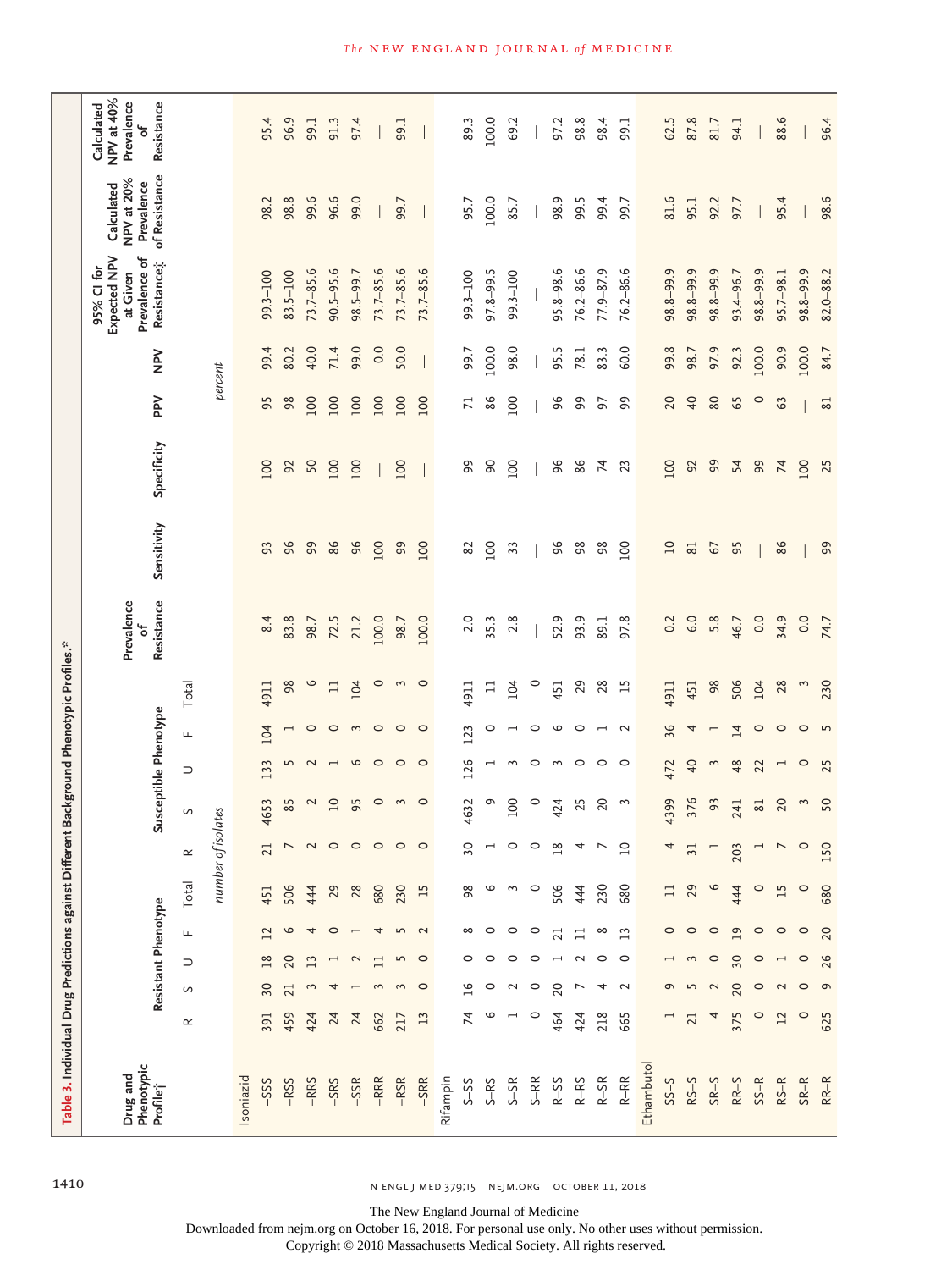| Table 3. Individual Drug Predictions against Different Background Phenotypic Profiles.* |                          |                          |                          |                     |                    |                           |                       |                          |                          |                 |                               |                |                |                 |         |                                                                        |                                                         |                                                           |
|-----------------------------------------------------------------------------------------|--------------------------|--------------------------|--------------------------|---------------------|--------------------|---------------------------|-----------------------|--------------------------|--------------------------|-----------------|-------------------------------|----------------|----------------|-----------------|---------|------------------------------------------------------------------------|---------------------------------------------------------|-----------------------------------------------------------|
| Phenotypic<br>Drug and<br>Profile                                                       |                          |                          |                          | Resistant Phenotype |                    |                           | Susceptible Phenotype |                          |                          |                 | Resistance<br>Prevalence<br>ჼ | Sensitivity    | Specificity    | $\geq$          | $\geq$  | Expected NPV<br>Prevalence of<br>Resistance;<br>95% CI for<br>at Given | of Resistance<br>NPV at 20%<br>Prevalence<br>Calculated | NPV at 40%<br>Prevalence<br>Resistance<br>Calculated<br>ჼ |
|                                                                                         | $\propto$                | $\mathsf{\Omega}$        | $\supset$                | Щ                   | Total              | $\simeq$                  | S                     | $\supset$                | Щ                        | Total           |                               |                |                |                 |         |                                                                        |                                                         |                                                           |
|                                                                                         |                          |                          |                          |                     | number of          |                           | isolates              |                          |                          |                 |                               |                |                |                 | percent |                                                                        |                                                         |                                                           |
| Isoniazid                                                                               |                          |                          |                          |                     |                    |                           |                       |                          |                          |                 |                               |                |                |                 |         |                                                                        |                                                         |                                                           |
| -SSS                                                                                    | 391                      | 30                       | $\frac{8}{1}$            | 12                  | 451                | 21                        | 4653                  | 133                      | 104                      | 4911            | 8.4                           | 93             | 100            | 95              | 99.4    | $99.3 - 100$                                                           | 98.2                                                    | 95.4                                                      |
| $-RSS$                                                                                  | 459                      | 21                       | 20                       | 9                   | 506                | $\overline{ }$            | 85                    | 5                        | $\overline{\phantom{0}}$ | 98              | 83.8                          | 96             | 92             | 98              | 80.2    | $83.5 - 100$                                                           | 98.8                                                    | 96.9                                                      |
| -RRS                                                                                    | 424                      | 3                        | $\overline{13}$          | 4                   | 444                | $\sim$                    | 2                     | $\sim$                   | 0                        | 9               | 98.7                          | 99             | 50             | 100             | 40.0    | $73.7 - 85.6$                                                          | 99.6                                                    | 99.1                                                      |
| $-$ SRS                                                                                 | 24                       | 4                        |                          | $\circ$             | 29                 | $\circ$                   | $\overline{10}$       | $\overline{ }$           | $\circ$                  | $\Box$          | 72.5                          | 86             | 100            | 100             | 71.4    | $90.5 - 95.6$                                                          | 96.6                                                    | 91.3                                                      |
| -SSR                                                                                    | 24                       | $\overline{\phantom{0}}$ | $\sim$                   |                     | 28                 | $\circ$                   | 95                    | $\circ$                  | $\mathfrak{g}$           | 104             | 21.2                          | 96             | 100            | 100             | 99.0    | 98.5-99.7                                                              | 99.0                                                    | 97.4                                                      |
| $-RRR$                                                                                  | 662                      | 3                        | $\Box$                   | 4                   | 680                | $\circ$                   | $\circ$               | $\circ$                  | $\circ$                  | $\circ$         | 100.0                         | 100            |                | 100             | 0.0     | $73.7 - 85.6$                                                          |                                                         |                                                           |
| $-RSR$                                                                                  | 217                      | 3                        | $\overline{5}$           | $\overline{5}$      | 230                | $\circ$                   | $\mathbf{\hat{z}}$    | $\circ$                  | $\circ$                  | 3               | 98.7                          | 99             | 100            | 100             | 50.0    | $73.7 - 85.6$                                                          | 99.7                                                    | 99.1                                                      |
| $-$ SRR                                                                                 | 13                       | $\circ$                  | $\circ$                  | $\sim$              | 15                 | $\circ$                   | $\circ$               | $\circ$                  | $\circ$                  | $\circ$         | 100.0                         | 100            |                | 100             |         | $73.7 - 85.6$                                                          |                                                         |                                                           |
| Rifampin                                                                                |                          |                          |                          |                     |                    |                           |                       |                          |                          |                 |                               |                |                |                 |         |                                                                        |                                                         |                                                           |
| $S-SS$                                                                                  | 74                       | $\overline{16}$          | $\circ$                  | $\infty$            | 98                 | 30                        | 4632                  | 126                      | 123                      | 4911            | 2.0                           | 82             | ஜ              | $\overline{z}$  | 99.7    | $99.3 - 100$                                                           | 95.7                                                    | 89.3                                                      |
| $S-RS$                                                                                  | 6                        | $\circ$                  | $\circ$                  | $\circ$             | 9                  |                           | e                     | ⊣                        | 0                        | $\Box$          | 35.3                          | 100            | 90             | 86              | 100.0   | $97.8 - 99.5$                                                          | 100.0                                                   | 100.0                                                     |
| $S-SR$                                                                                  | $\overline{\phantom{0}}$ | $\sim$                   | $\circ$                  | $\circ$             | $\mathbf{\hat{z}}$ | ○                         | 100                   | 3                        | $\overline{\phantom{0}}$ | 104             | 2.8                           | 33             | 100            | 100             | 98.0    | $99.3 - 100$                                                           | 85.7                                                    | 69.2                                                      |
| $S-RR$                                                                                  | $\circ$                  | $\circ$                  | $\circ$                  | $\circ$             | $\circ$            |                           | $\circ$               | $\circ$                  | $\circ$                  | $\circ$         |                               |                |                |                 |         |                                                                        |                                                         |                                                           |
| $R-SS$                                                                                  | 464                      | 20                       | $\overline{\phantom{0}}$ | $\overline{21}$     | 506                | $\overline{18}$           | 424                   | 3                        | 9                        | 451             | 52.9                          | 96             | 96             | 96              | 95.5    | $95.8 - 98.6$                                                          | 98.9                                                    | 97.2                                                      |
| $R-RS$                                                                                  | 424                      | $\overline{\phantom{0}}$ | $\sim$                   | $\Box$              | 444                |                           | 25                    | $\circ$                  | $\circ$                  | 29              | 93.9                          | $98$           | 86             | 99              | 78.1    | 76.2-86.6                                                              | 99.5                                                    | 98.8                                                      |
| $R-SR$                                                                                  | 218                      | 4                        | $\circ$                  | $\infty$            | 230                |                           | 20                    | $\circ$                  | $\overline{\phantom{0}}$ | 28              | 89.1                          | 98             | $\overline{7}$ | 57              | 83.3    | $77.9 - 87.9$                                                          | 99.4                                                    | 98.4                                                      |
| $R - RR$                                                                                | 665                      | $\sim$                   | $\circ$                  | $\overline{13}$     | 680                | $\circ$<br>$\overline{ }$ | 3                     | $\circ$                  | $\sim$                   | $\overline{15}$ | 97.8                          | 100            | 23             | 99              | 60.0    | 76.2-86.6                                                              | 99.7                                                    | 99.1                                                      |
| Ethambutol                                                                              |                          |                          |                          |                     |                    |                           |                       |                          |                          |                 |                               |                |                |                 |         |                                                                        |                                                         |                                                           |
| $S-S2$                                                                                  |                          | e                        |                          | $\circ$             | $\Box$             | $\overline{ }$            | 4399                  | 472                      | 36                       | 4911            | 0.2                           | $\overline{a}$ | 100            | 20              | 99.8    | 98.8-99.9                                                              | 81.6                                                    | 62.5                                                      |
| $RS-S$                                                                                  | 21                       | 5                        | 3                        | $\circ$             | 29                 | $\overline{ }$<br>3       | 376                   | $\overline{40}$          | 4                        | 451             | 6.0                           | 81             | 92             | $\overline{40}$ | 98.7    | 98.8-99.9                                                              | 95.1                                                    | 87.8                                                      |
| $S R - S$                                                                               | 4                        | $\mathbf{z}$             | $\circ$                  | $\circ$             | 9                  |                           | 93                    | 3                        | $\overline{\phantom{0}}$ | 98              | 5.8                           | 67             | 99             | $80\,$          | 97.9    | 98.8-99.9                                                              | 92.2                                                    | 81.7                                                      |
| $RR-S$                                                                                  | 375                      | 20                       | 30                       | 19                  | 444                | 203                       | 241                   | 48                       | $\overline{4}$           | 506             | 46.7                          | 95             | 54             | 65              | 92.3    | 93.4-96.7                                                              | 97.7                                                    | 94.1                                                      |
| $SS-R$                                                                                  | 0                        | $\circ$                  | $\circ$                  | $\circ$             | $\circ$            |                           | $\rm 81$              | $\overline{z}$           | $\circ$                  | 104             | 0.0                           |                | 99             | $\circ$         | 100.0   | 98.8-99.9                                                              |                                                         |                                                           |
| $RS-R$                                                                                  | 12                       | $\mathbf 2$              | $\overline{\phantom{a}}$ | $\circ$             | 15                 |                           | 20                    | $\overline{\phantom{0}}$ | $\circ$                  | 28              | 34.9                          | 86             | 74             | 63              | 90.9    | $95.7 - 98.1$                                                          | 95.4                                                    | 88.6                                                      |
| $SR-R$                                                                                  | $\circ$                  | $\circ$                  | $\circ$                  | $\circ$             | $\circ$            | $\circ$                   | 3                     | $\circ$                  | $\circ$                  | $\sim$          | 0.0                           |                | 100            |                 | 100.0   | $98.8 - 99.9$                                                          |                                                         |                                                           |
| $RR-R$                                                                                  | 625                      | $\sigma$                 | 26                       | 20                  | 680                | 150                       | 50                    | 25                       | $\overline{5}$           | 230             | 74.7                          | 99             | 25             | 81              | 84.7    | 82.0-88.2                                                              | 98.6                                                    | 96.4                                                      |

1410 **n ENGL J MED 379;15 NEJM.ORG** OCTOBER 11, 2018

The New England Journal of Medicine

Downloaded from nejm.org on October 16, 2018. For personal use only. No other uses without permission.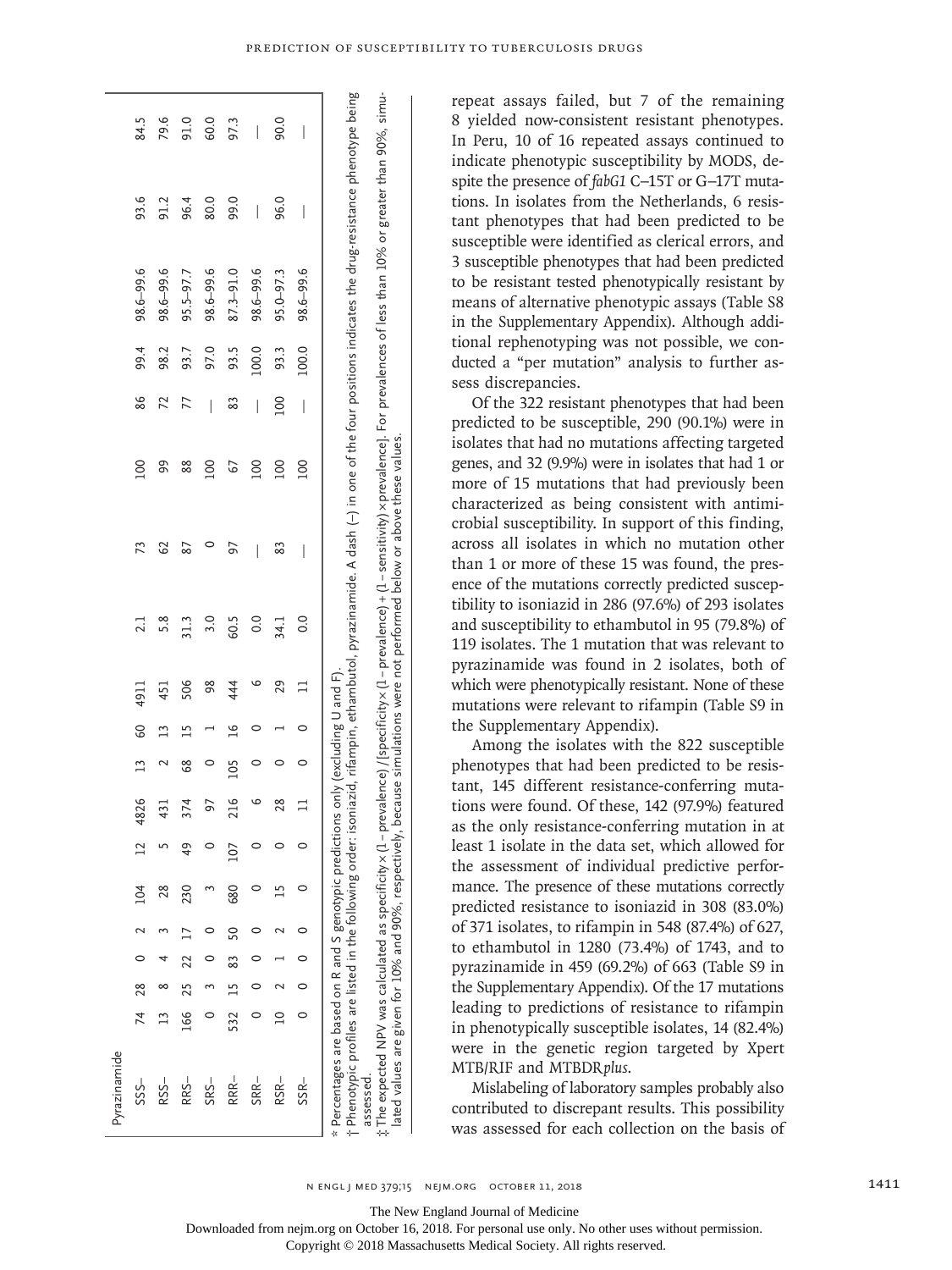| $\uparrow$ Phenotypic profiles are listed in the following order: isoniazid, rifampin, ethambutol, pyrazinamide. A dash (–) in one of the four positions indicates the drug-resistance phenotype being<br>: The expected NPV was calculated as specificity x (1–prevalence) /[specificity x (1–prevalence) + (1–sensitivity) x prevalence]. For prevalences of less than 10% or greater than 90%, simu-<br>lated values are given for 10% and 90%, respective |                                                                                     |
|---------------------------------------------------------------------------------------------------------------------------------------------------------------------------------------------------------------------------------------------------------------------------------------------------------------------------------------------------------------------------------------------------------------------------------------------------------------|-------------------------------------------------------------------------------------|
|                                                                                                                                                                                                                                                                                                                                                                                                                                                               | $*$ Percentages are based on R and S genotypic predictions only (excluding U and F) |
|                                                                                                                                                                                                                                                                                                                                                                                                                                                               |                                                                                     |

repeat assays failed, but 7 of the remaining 8 yielded now-consistent resistant phenotypes. In Peru, 10 of 16 repeated assays continued to indicate phenotypic susceptibility by MODS, despite the presence of *fabG1* C−15T or G−17T mutations. In isolates from the Netherlands, 6 resistant phenotypes that had been predicted to be susceptible were identified as clerical errors, and 3 susceptible phenotypes that had been predicted to be resistant tested phenotypically resistant by means of alternative phenotypic assays (Table S8 in the Supplementary Appendix). Although additional rephenotyping was not possible, we conducted a "per mutation" analysis to further assess discrepancies.

Of the 322 resistant phenotypes that had been predicted to be susceptible, 290 (90.1%) were in isolates that had no mutations affecting targeted genes, and 32 (9.9%) were in isolates that had 1 or more of 15 mutations that had previously been characterized as being consistent with antimicrobial susceptibility. In support of this finding, across all isolates in which no mutation other than 1 or more of these 15 was found, the presence of the mutations correctly predicted susceptibility to isoniazid in 286 (97.6%) of 293 isolates and susceptibility to ethambutol in 95 (79.8%) of 119 isolates. The 1 mutation that was relevant to pyrazinamide was found in 2 isolates, both of which were phenotypically resistant. None of these mutations were relevant to rifampin (Table S9 in the Supplementary Appendix).

Among the isolates with the 822 susceptible phenotypes that had been predicted to be resistant, 145 different resistance-conferring mutations were found. Of these, 142 (97.9%) featured as the only resistance-conferring mutation in at least 1 isolate in the data set, which allowed for the assessment of individual predictive performance. The presence of these mutations correctly predicted resistance to isoniazid in 308 (83.0%) of 371 isolates, to rifampin in 548 (87.4%) of 627, to ethambutol in 1280 (73.4%) of 1743, and to pyrazinamide in 459 (69.2%) of 663 (Table S9 in the Supplementary Appendix). Of the 17 mutations leading to predictions of resistance to rifampin in phenotypically susceptible isolates, 14 (82.4%) were in the genetic region targeted by Xpert MTB/RIF and MTBDR*plus*.

Mislabeling of laboratory samples probably also contributed to discrepant results. This possibility was assessed for each collection on the basis of

The New England Journal of Medicine

Downloaded from nejm.org on October 16, 2018. For personal use only. No other uses without permission.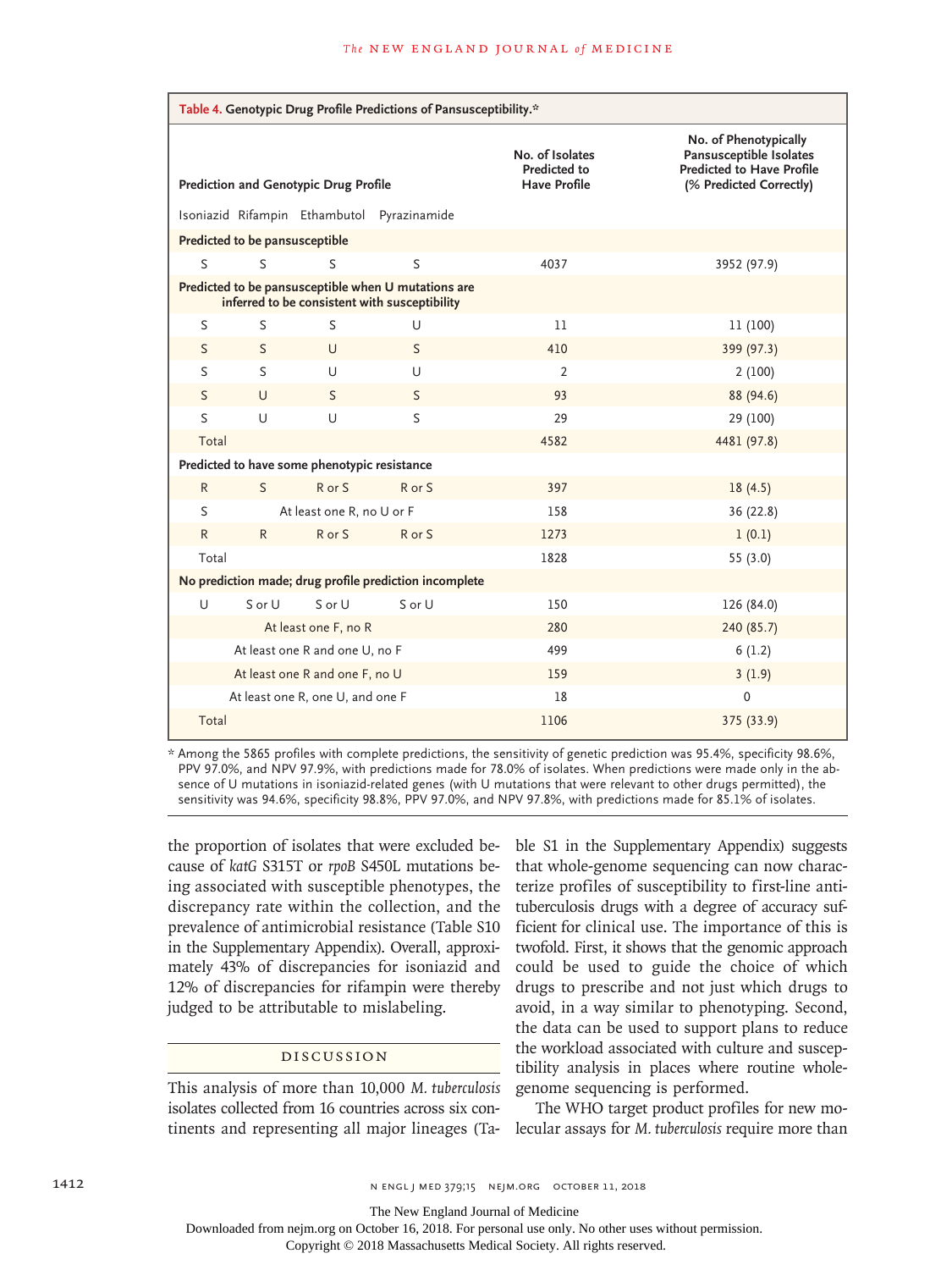|              |                                |                                              | Table 4. Genotypic Drug Profile Predictions of Pansusceptibility.*                                   |                                                 |                                                                                                                 |
|--------------|--------------------------------|----------------------------------------------|------------------------------------------------------------------------------------------------------|-------------------------------------------------|-----------------------------------------------------------------------------------------------------------------|
|              |                                | Prediction and Genotypic Drug Profile        |                                                                                                      | No. of Isolates<br>Predicted to<br>Have Profile | No. of Phenotypically<br>Pansusceptible Isolates<br><b>Predicted to Have Profile</b><br>(% Predicted Correctly) |
|              |                                |                                              | Isoniazid Rifampin Ethambutol Pyrazinamide                                                           |                                                 |                                                                                                                 |
|              | Predicted to be pansusceptible |                                              |                                                                                                      |                                                 |                                                                                                                 |
| S            | S                              | S                                            | S                                                                                                    | 4037                                            | 3952 (97.9)                                                                                                     |
|              |                                |                                              | Predicted to be pansusceptible when U mutations are<br>inferred to be consistent with susceptibility |                                                 |                                                                                                                 |
| S            | S                              | S                                            | U                                                                                                    | 11                                              | 11 (100)                                                                                                        |
| S            | S                              | $\cup$                                       | S                                                                                                    | 410                                             | 399 (97.3)                                                                                                      |
| S            | S                              | U                                            | U                                                                                                    | $\overline{2}$                                  | 2(100)                                                                                                          |
| $\mathsf{S}$ | $\cup$                         | S                                            | $\mathsf{S}$                                                                                         | 93                                              | 88 (94.6)                                                                                                       |
| S            | U                              | U                                            | S                                                                                                    | 29                                              | 29 (100)                                                                                                        |
| Total        |                                |                                              |                                                                                                      | 4582                                            | 4481 (97.8)                                                                                                     |
|              |                                | Predicted to have some phenotypic resistance |                                                                                                      |                                                 |                                                                                                                 |
| $\mathsf{R}$ | S                              | R or S                                       | R or S                                                                                               | 397                                             | 18(4.5)                                                                                                         |
| S            |                                | At least one R, no U or F                    |                                                                                                      | 158                                             | 36(22.8)                                                                                                        |
| $\mathsf{R}$ | $\mathsf{R}$                   | R or S                                       | R or S                                                                                               | 1273                                            | 1(0.1)                                                                                                          |
| Total        |                                |                                              |                                                                                                      | 1828                                            | 55 (3.0)                                                                                                        |
|              |                                |                                              | No prediction made; drug profile prediction incomplete                                               |                                                 |                                                                                                                 |
| U            | SorU                           | SorU                                         | SorU                                                                                                 | 150                                             | 126 (84.0)                                                                                                      |
|              |                                | At least one F, no R                         |                                                                                                      | 280                                             | 240 (85.7)                                                                                                      |
|              |                                | At least one R and one U, no F               |                                                                                                      | 499                                             | 6(1.2)                                                                                                          |
|              |                                | At least one R and one F, no U               |                                                                                                      | 159                                             | 3(1.9)                                                                                                          |
|              |                                | At least one R, one U, and one F             |                                                                                                      | 18                                              | $\mathbf{0}$                                                                                                    |
| Total        |                                |                                              |                                                                                                      | 1106                                            | 375 (33.9)                                                                                                      |

\* Among the 5865 profiles with complete predictions, the sensitivity of genetic prediction was 95.4%, specificity 98.6%, PPV 97.0%, and NPV 97.9%, with predictions made for 78.0% of isolates. When predictions were made only in the absence of U mutations in isoniazid-related genes (with U mutations that were relevant to other drugs permitted), the sensitivity was 94.6%, specificity 98.8%, PPV 97.0%, and NPV 97.8%, with predictions made for 85.1% of isolates.

the proportion of isolates that were excluded because of *katG* S315T or *rpoB* S450L mutations being associated with susceptible phenotypes, the discrepancy rate within the collection, and the prevalence of antimicrobial resistance (Table S10 in the Supplementary Appendix). Overall, approximately 43% of discrepancies for isoniazid and 12% of discrepancies for rifampin were thereby judged to be attributable to mislabeling.

#### Discussion

This analysis of more than 10,000 *M. tuberculosis* isolates collected from 16 countries across six continents and representing all major lineages (Table S1 in the Supplementary Appendix) suggests that whole-genome sequencing can now characterize profiles of susceptibility to first-line antituberculosis drugs with a degree of accuracy sufficient for clinical use. The importance of this is twofold. First, it shows that the genomic approach could be used to guide the choice of which drugs to prescribe and not just which drugs to avoid, in a way similar to phenotyping. Second, the data can be used to support plans to reduce the workload associated with culture and susceptibility analysis in places where routine wholegenome sequencing is performed.

The WHO target product profiles for new molecular assays for *M. tuberculosis* require more than

The New England Journal of Medicine

Downloaded from nejm.org on October 16, 2018. For personal use only. No other uses without permission.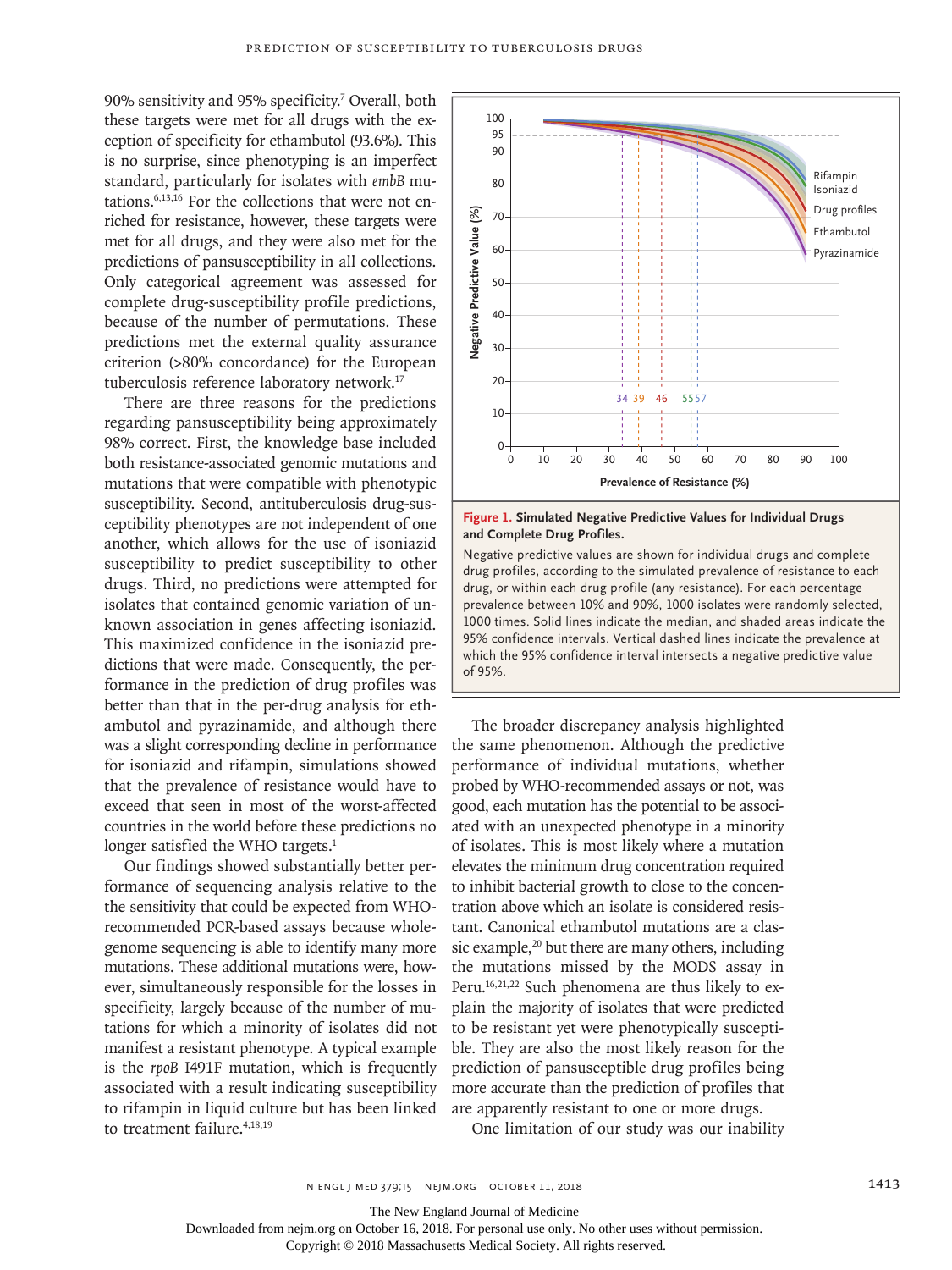90% sensitivity and 95% specificity.7 Overall, both these targets were met for all drugs with the exception of specificity for ethambutol (93.6%). This is no surprise, since phenotyping is an imperfect standard, particularly for isolates with *embB* mutations.6,13,16 For the collections that were not enriched for resistance, however, these targets were met for all drugs, and they were also met for the predictions of pansusceptibility in all collections. Only categorical agreement was assessed for complete drug-susceptibility profile predictions, because of the number of permutations. These predictions met the external quality assurance criterion (>80% concordance) for the European tuberculosis reference laboratory network.17

There are three reasons for the predictions regarding pansusceptibility being approximately 98% correct. First, the knowledge base included both resistance-associated genomic mutations and mutations that were compatible with phenotypic susceptibility. Second, antituberculosis drug-susceptibility phenotypes are not independent of one another, which allows for the use of isoniazid susceptibility to predict susceptibility to other drugs. Third, no predictions were attempted for isolates that contained genomic variation of unknown association in genes affecting isoniazid. This maximized confidence in the isoniazid predictions that were made. Consequently, the performance in the prediction of drug profiles was better than that in the per-drug analysis for ethambutol and pyrazinamide, and although there was a slight corresponding decline in performance for isoniazid and rifampin, simulations showed that the prevalence of resistance would have to exceed that seen in most of the worst-affected countries in the world before these predictions no longer satisfied the WHO targets.<sup>1</sup>

Our findings showed substantially better performance of sequencing analysis relative to the the sensitivity that could be expected from WHOrecommended PCR-based assays because wholegenome sequencing is able to identify many more mutations. These additional mutations were, however, simultaneously responsible for the losses in specificity, largely because of the number of mutations for which a minority of isolates did not manifest a resistant phenotype. A typical example is the *rpoB* I491F mutation, which is frequently associated with a result indicating susceptibility to rifampin in liquid culture but has been linked to treatment failure.<sup>4,18,19</sup>



**Figure 1. Simulated Negative Predictive Values for Individual Drugs and Complete Drug Profiles.**

Negative predictive values are shown for individual drugs and complete drug profiles, according to the simulated prevalence of resistance to each drug, or within each drug profile (any resistance). For each percentage prevalence between 10% and 90%, 1000 isolates were randomly selected, 1000 times. Solid lines indicate the median, and shaded areas indicate the 95% confidence intervals. Vertical dashed lines indicate the prevalence at which the 95% confidence interval intersects a negative predictive value  $of 95%$ 

The broader discrepancy analysis highlighted the same phenomenon. Although the predictive performance of individual mutations, whether probed by WHO-recommended assays or not, was good, each mutation has the potential to be associated with an unexpected phenotype in a minority of isolates. This is most likely where a mutation elevates the minimum drug concentration required to inhibit bacterial growth to close to the concentration above which an isolate is considered resistant. Canonical ethambutol mutations are a classic example,<sup>20</sup> but there are many others, including the mutations missed by the MODS assay in Peru.16,21,22 Such phenomena are thus likely to explain the majority of isolates that were predicted to be resistant yet were phenotypically susceptible. They are also the most likely reason for the prediction of pansusceptible drug profiles being more accurate than the prediction of profiles that are apparently resistant to one or more drugs.

One limitation of our study was our inability

The New England Journal of Medicine

Downloaded from nejm.org on October 16, 2018. For personal use only. No other uses without permission.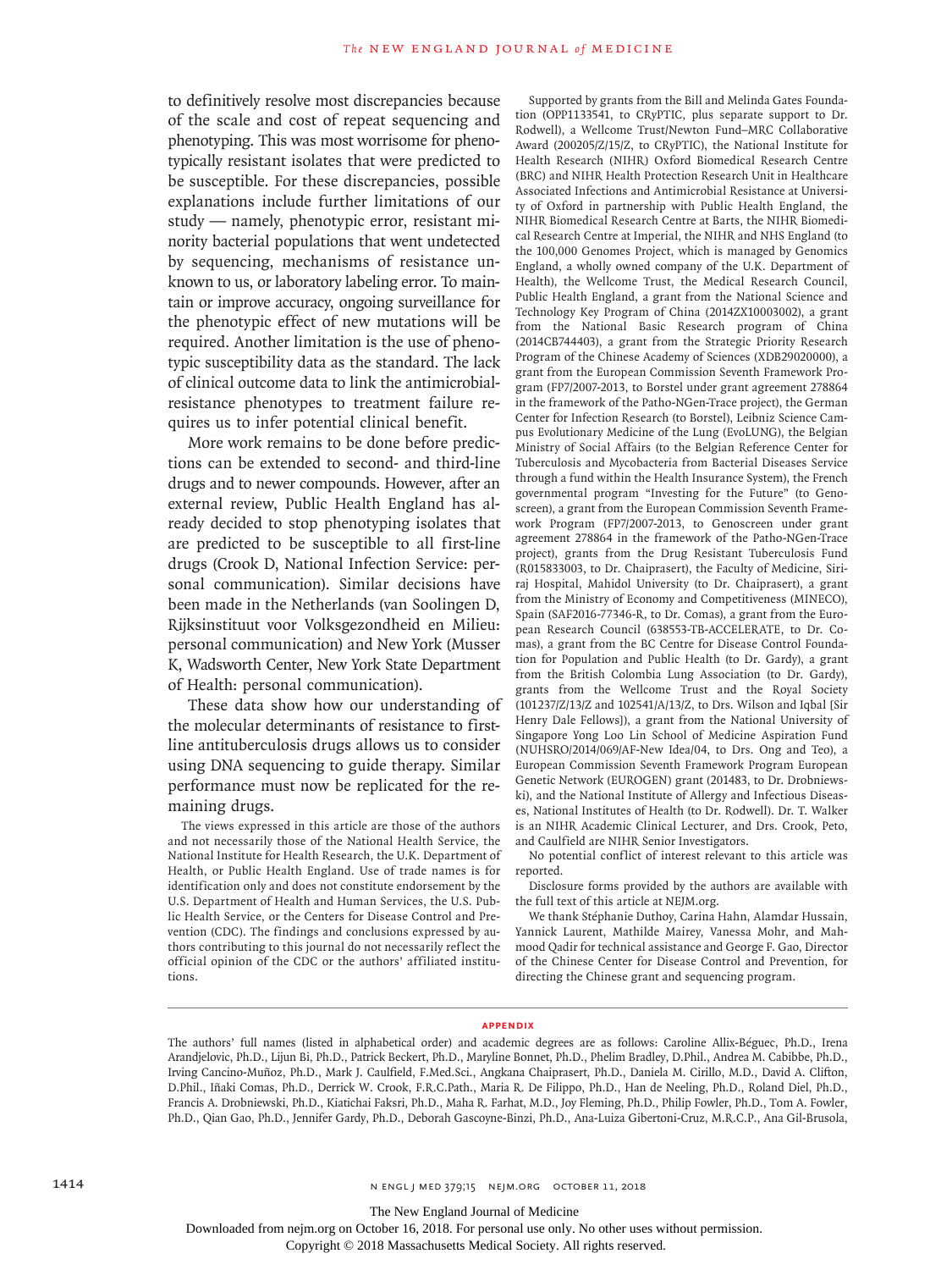to definitively resolve most discrepancies because of the scale and cost of repeat sequencing and phenotyping. This was most worrisome for phenotypically resistant isolates that were predicted to be susceptible. For these discrepancies, possible explanations include further limitations of our study — namely, phenotypic error, resistant minority bacterial populations that went undetected by sequencing, mechanisms of resistance unknown to us, or laboratory labeling error. To maintain or improve accuracy, ongoing surveillance for the phenotypic effect of new mutations will be required. Another limitation is the use of phenotypic susceptibility data as the standard. The lack of clinical outcome data to link the antimicrobialresistance phenotypes to treatment failure requires us to infer potential clinical benefit.

More work remains to be done before predictions can be extended to second- and third-line drugs and to newer compounds. However, after an external review, Public Health England has already decided to stop phenotyping isolates that are predicted to be susceptible to all first-line drugs (Crook D, National Infection Service: personal communication). Similar decisions have been made in the Netherlands (van Soolingen D, Rijksinstituut voor Volksgezondheid en Milieu: personal communication) and New York (Musser K, Wadsworth Center, New York State Department of Health: personal communication).

These data show how our understanding of the molecular determinants of resistance to firstline antituberculosis drugs allows us to consider using DNA sequencing to guide therapy. Similar performance must now be replicated for the remaining drugs.

The views expressed in this article are those of the authors and not necessarily those of the National Health Service, the National Institute for Health Research, the U.K. Department of Health, or Public Health England. Use of trade names is for identification only and does not constitute endorsement by the U.S. Department of Health and Human Services, the U.S. Public Health Service, or the Centers for Disease Control and Prevention (CDC). The findings and conclusions expressed by authors contributing to this journal do not necessarily reflect the official opinion of the CDC or the authors' affiliated institutions.

Supported by grants from the Bill and Melinda Gates Foundation (OPP1133541, to CRyPTIC, plus separate support to Dr. Rodwell), a Wellcome Trust/Newton Fund–MRC Collaborative Award (200205/Z/15/Z, to CRyPTIC), the National Institute for Health Research (NIHR) Oxford Biomedical Research Centre (BRC) and NIHR Health Protection Research Unit in Healthcare Associated Infections and Antimicrobial Resistance at University of Oxford in partnership with Public Health England, the NIHR Biomedical Research Centre at Barts, the NIHR Biomedical Research Centre at Imperial, the NIHR and NHS England (to the 100,000 Genomes Project, which is managed by Genomics England, a wholly owned company of the U.K. Department of Health), the Wellcome Trust, the Medical Research Council, Public Health England, a grant from the National Science and Technology Key Program of China (2014ZX10003002), a grant from the National Basic Research program of China (2014CB744403), a grant from the Strategic Priority Research Program of the Chinese Academy of Sciences (XDB29020000), a grant from the European Commission Seventh Framework Program (FP7/2007-2013, to Borstel under grant agreement 278864 in the framework of the Patho-NGen-Trace project), the German Center for Infection Research (to Borstel), Leibniz Science Campus Evolutionary Medicine of the Lung (EvoLUNG), the Belgian Ministry of Social Affairs (to the Belgian Reference Center for Tuberculosis and Mycobacteria from Bacterial Diseases Service through a fund within the Health Insurance System), the French governmental program "Investing for the Future" (to Genoscreen), a grant from the European Commission Seventh Framework Program (FP7/2007-2013, to Genoscreen under grant agreement 278864 in the framework of the Patho-NGen-Trace project), grants from the Drug Resistant Tuberculosis Fund (R015833003, to Dr. Chaiprasert), the Faculty of Medicine, Siriraj Hospital, Mahidol University (to Dr. Chaiprasert), a grant from the Ministry of Economy and Competitiveness (MINECO), Spain (SAF2016-77346-R, to Dr. Comas), a grant from the European Research Council (638553-TB-ACCELERATE, to Dr. Comas), a grant from the BC Centre for Disease Control Foundation for Population and Public Health (to Dr. Gardy), a grant from the British Colombia Lung Association (to Dr. Gardy), grants from the Wellcome Trust and the Royal Society (101237/Z/13/Z and 102541/A/13/Z, to Drs. Wilson and Iqbal [Sir Henry Dale Fellows]), a grant from the National University of Singapore Yong Loo Lin School of Medicine Aspiration Fund (NUHSRO/2014/069/AF-New Idea/04, to Drs. Ong and Teo), a European Commission Seventh Framework Program European Genetic Network (EUROGEN) grant (201483, to Dr. Drobniewski), and the National Institute of Allergy and Infectious Diseases, National Institutes of Health (to Dr. Rodwell). Dr. T. Walker is an NIHR Academic Clinical Lecturer, and Drs. Crook, Peto, and Caulfield are NIHR Senior Investigators.

No potential conflict of interest relevant to this article was reported.

Disclosure forms provided by the authors are available with the full text of this article at NEJM.org.

We thank Stéphanie Duthoy, Carina Hahn, Alamdar Hussain, Yannick Laurent, Mathilde Mairey, Vanessa Mohr, and Mahmood Qadir for technical assistance and George F. Gao, Director of the Chinese Center for Disease Control and Prevention, for directing the Chinese grant and sequencing program.

#### **Appendix**

The authors' full names (listed in alphabetical order) and academic degrees are as follows: Caroline Allix-Béguec, Ph.D., Irena Arandjelovic, Ph.D., Lijun Bi, Ph.D., Patrick Beckert, Ph.D., Maryline Bonnet, Ph.D., Phelim Bradley, D.Phil., Andrea M. Cabibbe, Ph.D., Irving Cancino-Muñoz, Ph.D., Mark J. Caulfield, F.Med.Sci., Angkana Chaiprasert, Ph.D., Daniela M. Cirillo, M.D., David A. Clifton, D.Phil., Iñaki Comas, Ph.D., Derrick W. Crook, F.R.C.Path., Maria R. De Filippo, Ph.D., Han de Neeling, Ph.D., Roland Diel, Ph.D., Francis A. Drobniewski, Ph.D., Kiatichai Faksri, Ph.D., Maha R. Farhat, M.D., Joy Fleming, Ph.D., Philip Fowler, Ph.D., Tom A. Fowler, Ph.D., Qian Gao, Ph.D., Jennifer Gardy, Ph.D., Deborah Gascoyne-Binzi, Ph.D., Ana-Luiza Gibertoni-Cruz, M.R.C.P., Ana Gil-Brusola,

The New England Journal of Medicine

Downloaded from nejm.org on October 16, 2018. For personal use only. No other uses without permission.